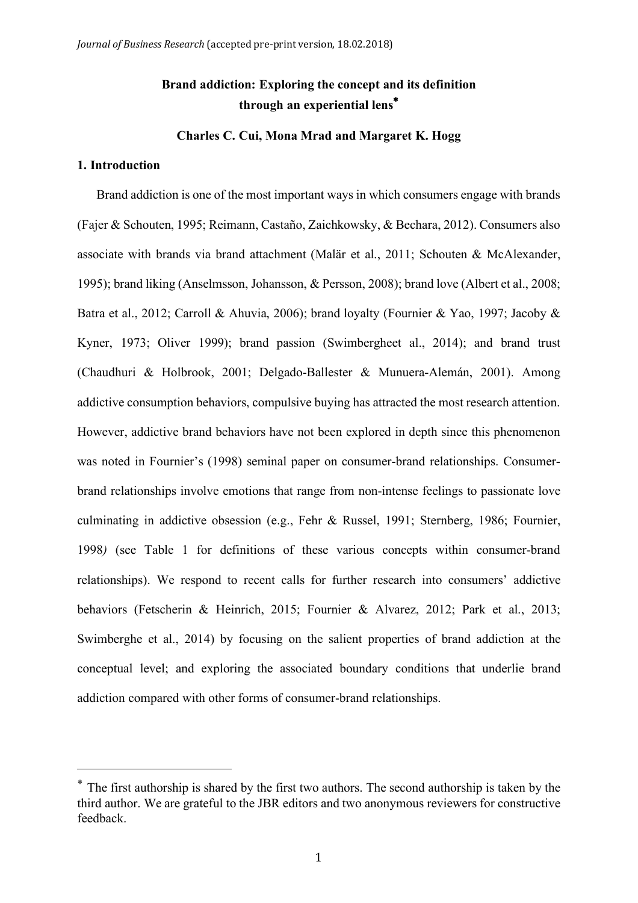# **Brand addiction: Exploring the concept and its definition through an experiential lens**\*

## **Charles C. Cui, Mona Mrad and Margaret K. Hogg**

#### **1. Introduction**

 $\overline{a}$ 

Brand addiction is one of the most important ways in which consumers engage with brands (Fajer & Schouten, 1995; Reimann, Castaño, Zaichkowsky, & Bechara, 2012). Consumers also associate with brands via brand attachment (Malär et al., 2011; Schouten & McAlexander, 1995); brand liking (Anselmsson, Johansson, & Persson, 2008); brand love (Albert et al., 2008; Batra et al., 2012; Carroll & Ahuvia, 2006); brand loyalty (Fournier & Yao, 1997; Jacoby & Kyner, 1973; Oliver 1999); brand passion (Swimbergheet al., 2014); and brand trust (Chaudhuri & Holbrook, 2001; Delgado-Ballester & Munuera-Alemán, 2001). Among addictive consumption behaviors, compulsive buying has attracted the most research attention. However, addictive brand behaviors have not been explored in depth since this phenomenon was noted in Fournier's (1998) seminal paper on consumer-brand relationships. Consumerbrand relationships involve emotions that range from non-intense feelings to passionate love culminating in addictive obsession (e.g., Fehr & Russel, 1991; Sternberg, 1986; Fournier, 1998*)* (see Table 1 for definitions of these various concepts within consumer-brand relationships). We respond to recent calls for further research into consumers' addictive behaviors (Fetscherin & Heinrich, 2015; Fournier & Alvarez, 2012; Park et al., 2013; Swimberghe et al., 2014) by focusing on the salient properties of brand addiction at the conceptual level; and exploring the associated boundary conditions that underlie brand addiction compared with other forms of consumer-brand relationships.

<sup>\*</sup> The first authorship is shared by the first two authors. The second authorship is taken by the third author. We are grateful to the JBR editors and two anonymous reviewers for constructive feedback.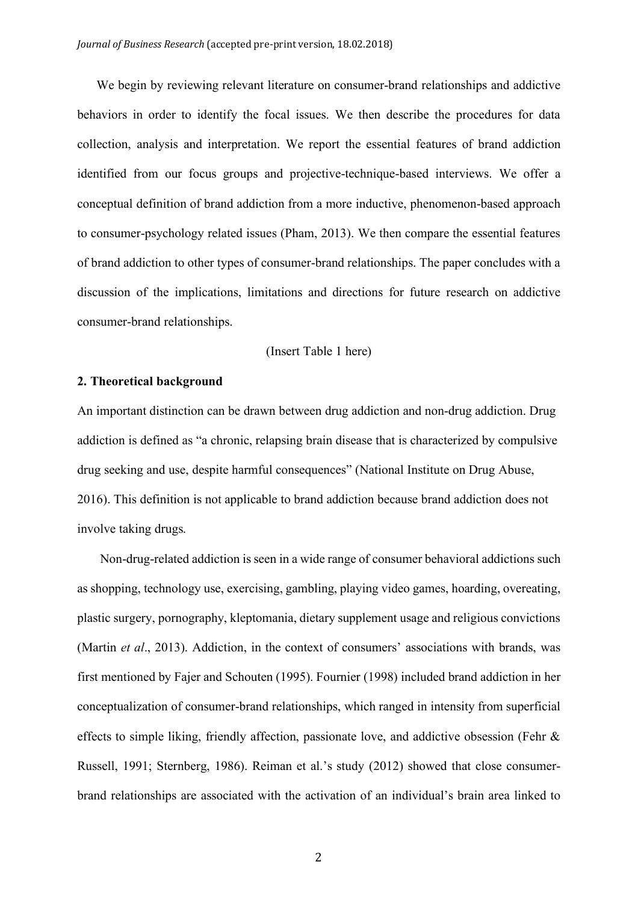We begin by reviewing relevant literature on consumer-brand relationships and addictive behaviors in order to identify the focal issues. We then describe the procedures for data collection, analysis and interpretation. We report the essential features of brand addiction identified from our focus groups and projective-technique-based interviews. We offer a conceptual definition of brand addiction from a more inductive, phenomenon-based approach to consumer-psychology related issues (Pham, 2013). We then compare the essential features of brand addiction to other types of consumer-brand relationships. The paper concludes with a discussion of the implications, limitations and directions for future research on addictive consumer-brand relationships.

## (Insert Table 1 here)

## **2. Theoretical background**

An important distinction can be drawn between drug addiction and non-drug addiction. Drug addiction is defined as "a chronic, relapsing brain disease that is characterized by compulsive drug seeking and use, despite harmful consequences" (National Institute on Drug Abuse, 2016). This definition is not applicable to brand addiction because brand addiction does not involve taking drugs.

Non-drug-related addiction is seen in a wide range of consumer behavioral addictions such as shopping, technology use, exercising, gambling, playing video games, hoarding, overeating, plastic surgery, pornography, kleptomania, dietary supplement usage and religious convictions (Martin *et al*., 2013). Addiction, in the context of consumers' associations with brands, was first mentioned by Fajer and Schouten (1995). Fournier (1998) included brand addiction in her conceptualization of consumer-brand relationships, which ranged in intensity from superficial effects to simple liking, friendly affection, passionate love, and addictive obsession (Fehr & Russell, 1991; Sternberg, 1986). Reiman et al.'s study (2012) showed that close consumerbrand relationships are associated with the activation of an individual's brain area linked to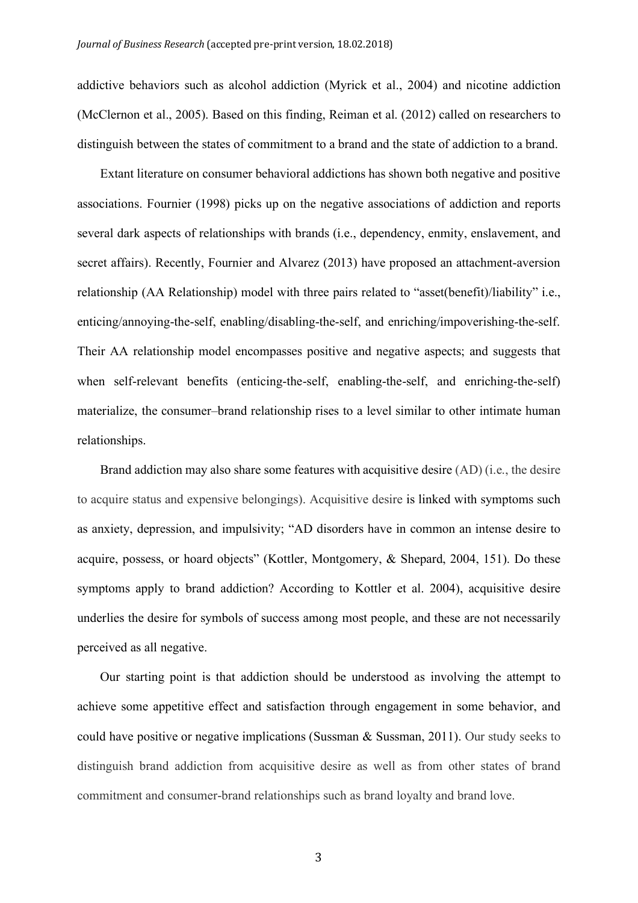addictive behaviors such as alcohol addiction (Myrick et al., 2004) and nicotine addiction (McClernon et al., 2005). Based on this finding, Reiman et al. (2012) called on researchers to distinguish between the states of commitment to a brand and the state of addiction to a brand.

Extant literature on consumer behavioral addictions has shown both negative and positive associations. Fournier (1998) picks up on the negative associations of addiction and reports several dark aspects of relationships with brands (i.e., dependency, enmity, enslavement, and secret affairs). Recently, Fournier and Alvarez (2013) have proposed an attachment-aversion relationship (AA Relationship) model with three pairs related to "asset(benefit)/liability" i.e., enticing/annoying-the-self, enabling/disabling-the-self, and enriching/impoverishing-the-self. Their AA relationship model encompasses positive and negative aspects; and suggests that when self-relevant benefits (enticing-the-self, enabling-the-self, and enriching-the-self) materialize, the consumer–brand relationship rises to a level similar to other intimate human relationships.

Brand addiction may also share some features with acquisitive desire (AD) (i.e., the desire to acquire status and expensive belongings). Acquisitive desire is linked with symptoms such as anxiety, depression, and impulsivity; "AD disorders have in common an intense desire to acquire, possess, or hoard objects" (Kottler, Montgomery, & Shepard, 2004, 151). Do these symptoms apply to brand addiction? According to Kottler et al. 2004), acquisitive desire underlies the desire for symbols of success among most people, and these are not necessarily perceived as all negative.

Our starting point is that addiction should be understood as involving the attempt to achieve some appetitive effect and satisfaction through engagement in some behavior, and could have positive or negative implications (Sussman & Sussman, 2011). Our study seeks to distinguish brand addiction from acquisitive desire as well as from other states of brand commitment and consumer-brand relationships such as brand loyalty and brand love.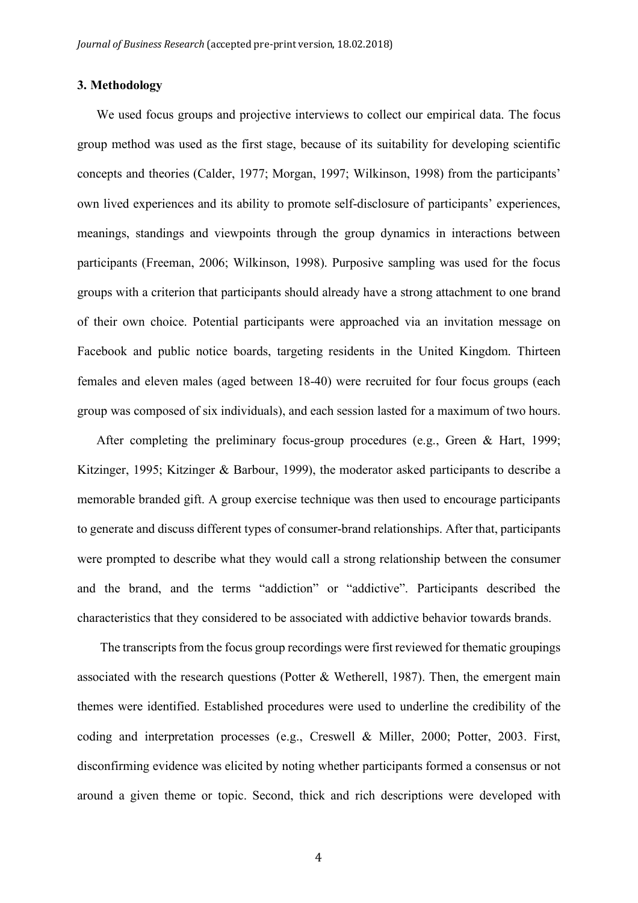## **3. Methodology**

We used focus groups and projective interviews to collect our empirical data. The focus group method was used as the first stage, because of its suitability for developing scientific concepts and theories (Calder, 1977; Morgan, 1997; Wilkinson, 1998) from the participants' own lived experiences and its ability to promote self-disclosure of participants' experiences, meanings, standings and viewpoints through the group dynamics in interactions between participants (Freeman, 2006; Wilkinson, 1998). Purposive sampling was used for the focus groups with a criterion that participants should already have a strong attachment to one brand of their own choice. Potential participants were approached via an invitation message on Facebook and public notice boards, targeting residents in the United Kingdom. Thirteen females and eleven males (aged between 18-40) were recruited for four focus groups (each group was composed of six individuals), and each session lasted for a maximum of two hours.

After completing the preliminary focus-group procedures (e.g., Green & Hart, 1999; Kitzinger, 1995; Kitzinger & Barbour, 1999), the moderator asked participants to describe a memorable branded gift. A group exercise technique was then used to encourage participants to generate and discuss different types of consumer-brand relationships. After that, participants were prompted to describe what they would call a strong relationship between the consumer and the brand, and the terms "addiction" or "addictive". Participants described the characteristics that they considered to be associated with addictive behavior towards brands.

The transcripts from the focus group recordings were first reviewed for thematic groupings associated with the research questions (Potter & Wetherell, 1987). Then, the emergent main themes were identified. Established procedures were used to underline the credibility of the coding and interpretation processes (e.g., Creswell & Miller, 2000; Potter, 2003. First, disconfirming evidence was elicited by noting whether participants formed a consensus or not around a given theme or topic. Second, thick and rich descriptions were developed with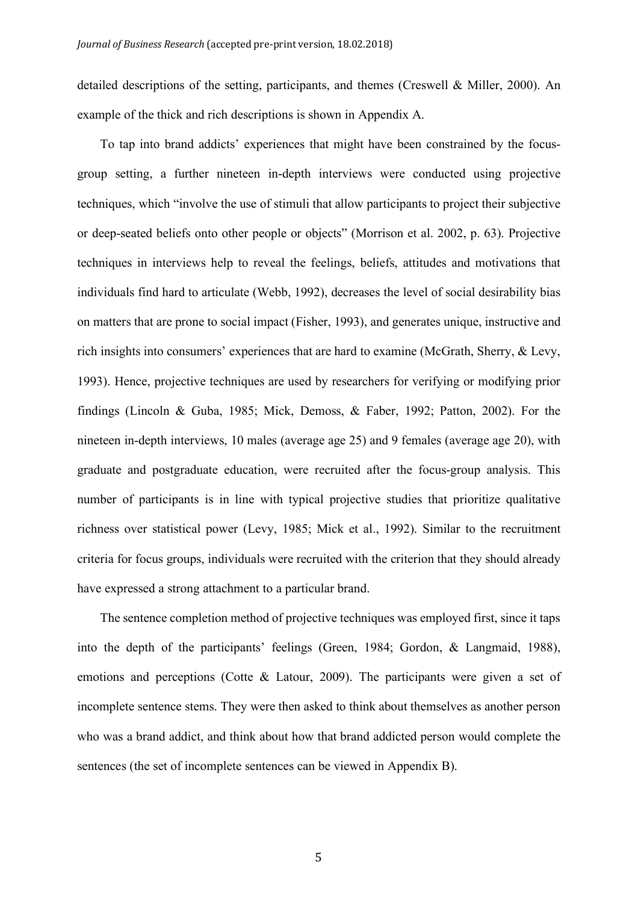detailed descriptions of the setting, participants, and themes (Creswell & Miller, 2000). An example of the thick and rich descriptions is shown in Appendix A.

To tap into brand addicts' experiences that might have been constrained by the focusgroup setting, a further nineteen in-depth interviews were conducted using projective techniques, which "involve the use of stimuli that allow participants to project their subjective or deep-seated beliefs onto other people or objects" (Morrison et al. 2002, p. 63). Projective techniques in interviews help to reveal the feelings, beliefs, attitudes and motivations that individuals find hard to articulate (Webb, 1992), decreases the level of social desirability bias on matters that are prone to social impact (Fisher, 1993), and generates unique, instructive and rich insights into consumers' experiences that are hard to examine (McGrath, Sherry, & Levy, 1993). Hence, projective techniques are used by researchers for verifying or modifying prior findings (Lincoln & Guba, 1985; Mick, Demoss, & Faber, 1992; Patton, 2002). For the nineteen in-depth interviews, 10 males (average age 25) and 9 females (average age 20), with graduate and postgraduate education, were recruited after the focus-group analysis. This number of participants is in line with typical projective studies that prioritize qualitative richness over statistical power (Levy, 1985; Mick et al., 1992). Similar to the recruitment criteria for focus groups, individuals were recruited with the criterion that they should already have expressed a strong attachment to a particular brand.

The sentence completion method of projective techniques was employed first, since it taps into the depth of the participants' feelings (Green, 1984; Gordon, & Langmaid, 1988), emotions and perceptions (Cotte & Latour, 2009). The participants were given a set of incomplete sentence stems. They were then asked to think about themselves as another person who was a brand addict, and think about how that brand addicted person would complete the sentences (the set of incomplete sentences can be viewed in Appendix B).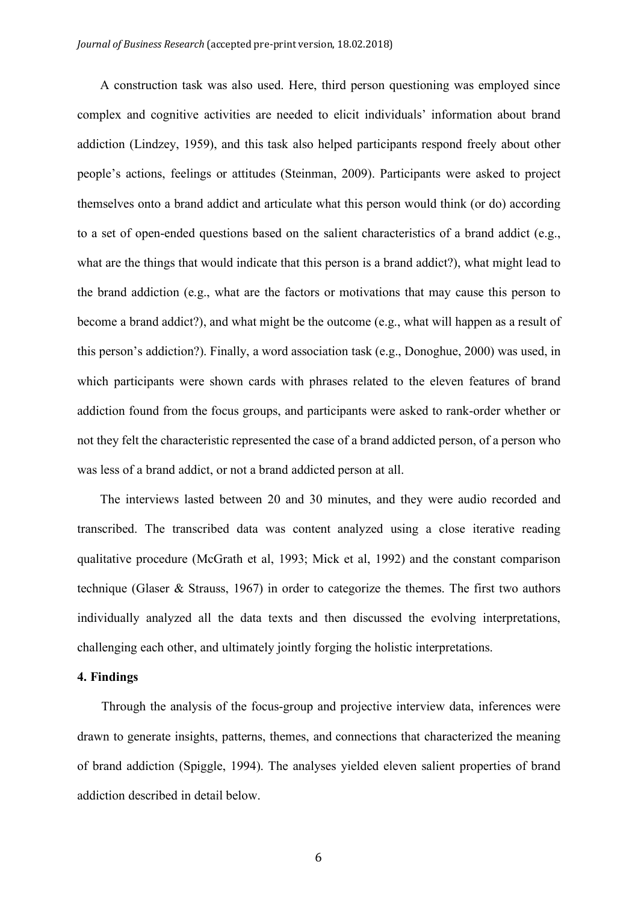A construction task was also used. Here, third person questioning was employed since complex and cognitive activities are needed to elicit individuals' information about brand addiction (Lindzey, 1959), and this task also helped participants respond freely about other people's actions, feelings or attitudes (Steinman, 2009). Participants were asked to project themselves onto a brand addict and articulate what this person would think (or do) according to a set of open-ended questions based on the salient characteristics of a brand addict (e.g., what are the things that would indicate that this person is a brand addict?), what might lead to the brand addiction (e.g., what are the factors or motivations that may cause this person to become a brand addict?), and what might be the outcome (e.g., what will happen as a result of this person's addiction?). Finally, a word association task (e.g., Donoghue, 2000) was used, in which participants were shown cards with phrases related to the eleven features of brand addiction found from the focus groups, and participants were asked to rank-order whether or not they felt the characteristic represented the case of a brand addicted person, of a person who was less of a brand addict, or not a brand addicted person at all.

The interviews lasted between 20 and 30 minutes, and they were audio recorded and transcribed. The transcribed data was content analyzed using a close iterative reading qualitative procedure (McGrath et al, 1993; Mick et al, 1992) and the constant comparison technique (Glaser & Strauss, 1967) in order to categorize the themes. The first two authors individually analyzed all the data texts and then discussed the evolving interpretations, challenging each other, and ultimately jointly forging the holistic interpretations.

### **4. Findings**

Through the analysis of the focus-group and projective interview data, inferences were drawn to generate insights, patterns, themes, and connections that characterized the meaning of brand addiction (Spiggle, 1994). The analyses yielded eleven salient properties of brand addiction described in detail below.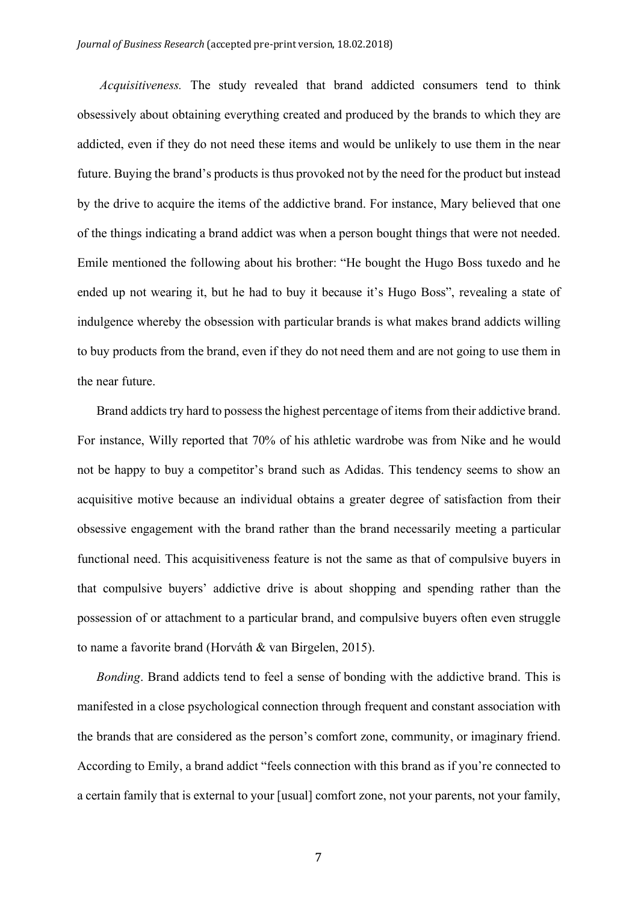*Acquisitiveness.* The study revealed that brand addicted consumers tend to think obsessively about obtaining everything created and produced by the brands to which they are addicted, even if they do not need these items and would be unlikely to use them in the near future. Buying the brand's products is thus provoked not by the need for the product but instead by the drive to acquire the items of the addictive brand. For instance, Mary believed that one of the things indicating a brand addict was when a person bought things that were not needed. Emile mentioned the following about his brother: "He bought the Hugo Boss tuxedo and he ended up not wearing it, but he had to buy it because it's Hugo Boss", revealing a state of indulgence whereby the obsession with particular brands is what makes brand addicts willing to buy products from the brand, even if they do not need them and are not going to use them in the near future.

Brand addicts try hard to possess the highest percentage of items from their addictive brand. For instance, Willy reported that 70% of his athletic wardrobe was from Nike and he would not be happy to buy a competitor's brand such as Adidas. This tendency seems to show an acquisitive motive because an individual obtains a greater degree of satisfaction from their obsessive engagement with the brand rather than the brand necessarily meeting a particular functional need. This acquisitiveness feature is not the same as that of compulsive buyers in that compulsive buyers' addictive drive is about shopping and spending rather than the possession of or attachment to a particular brand, and compulsive buyers often even struggle to name a favorite brand (Horváth & van Birgelen, 2015).

*Bonding*. Brand addicts tend to feel a sense of bonding with the addictive brand. This is manifested in a close psychological connection through frequent and constant association with the brands that are considered as the person's comfort zone, community, or imaginary friend. According to Emily, a brand addict "feels connection with this brand as if you're connected to a certain family that is external to your [usual] comfort zone, not your parents, not your family,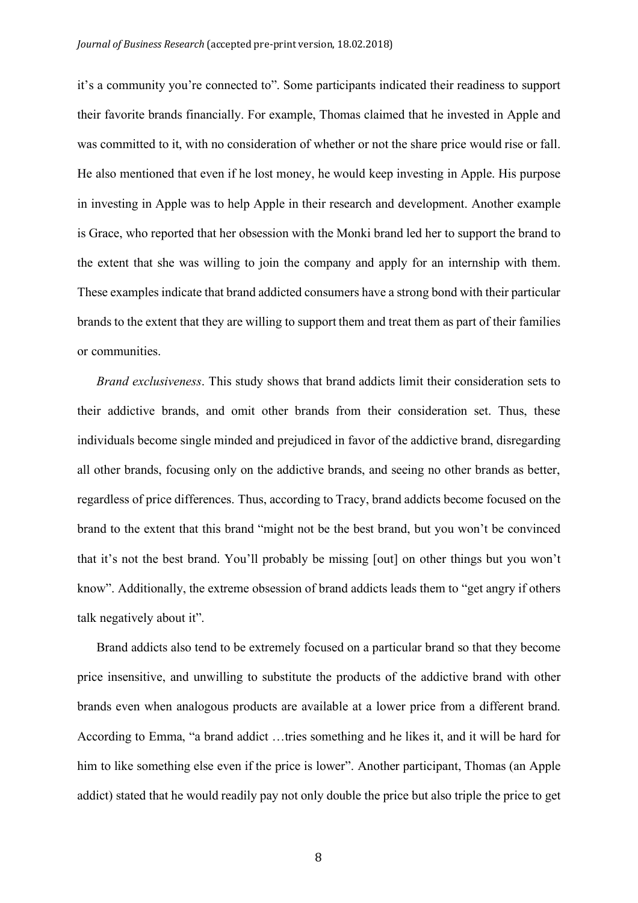it's a community you're connected to". Some participants indicated their readiness to support their favorite brands financially. For example, Thomas claimed that he invested in Apple and was committed to it, with no consideration of whether or not the share price would rise or fall. He also mentioned that even if he lost money, he would keep investing in Apple. His purpose in investing in Apple was to help Apple in their research and development. Another example is Grace, who reported that her obsession with the Monki brand led her to support the brand to the extent that she was willing to join the company and apply for an internship with them. These examples indicate that brand addicted consumers have a strong bond with their particular brands to the extent that they are willing to support them and treat them as part of their families or communities.

*Brand exclusiveness*. This study shows that brand addicts limit their consideration sets to their addictive brands, and omit other brands from their consideration set. Thus, these individuals become single minded and prejudiced in favor of the addictive brand, disregarding all other brands, focusing only on the addictive brands, and seeing no other brands as better, regardless of price differences. Thus, according to Tracy, brand addicts become focused on the brand to the extent that this brand "might not be the best brand, but you won't be convinced that it's not the best brand. You'll probably be missing [out] on other things but you won't know". Additionally, the extreme obsession of brand addicts leads them to "get angry if others talk negatively about it".

Brand addicts also tend to be extremely focused on a particular brand so that they become price insensitive, and unwilling to substitute the products of the addictive brand with other brands even when analogous products are available at a lower price from a different brand. According to Emma, "a brand addict …tries something and he likes it, and it will be hard for him to like something else even if the price is lower". Another participant, Thomas (an Apple addict) stated that he would readily pay not only double the price but also triple the price to get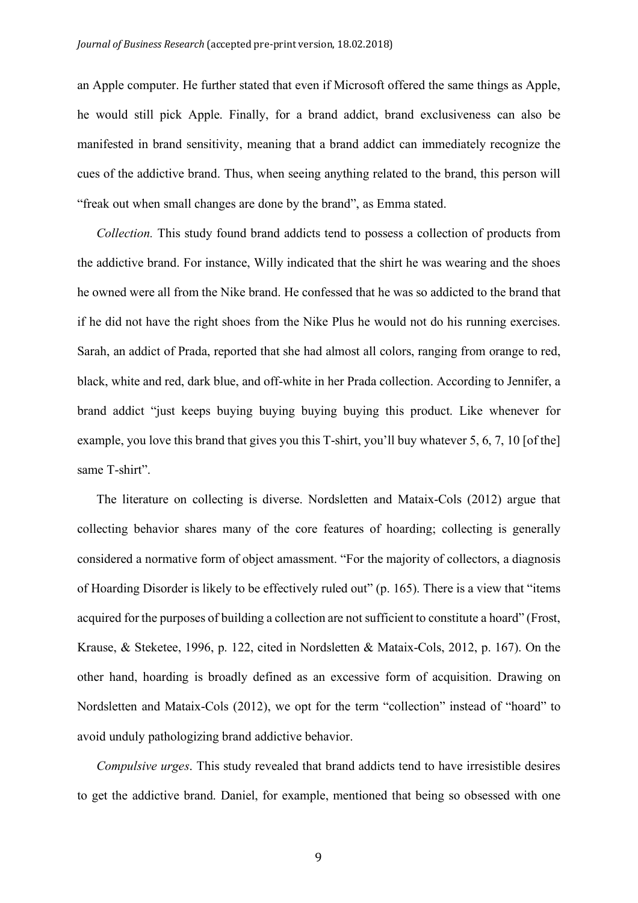an Apple computer. He further stated that even if Microsoft offered the same things as Apple, he would still pick Apple. Finally, for a brand addict, brand exclusiveness can also be manifested in brand sensitivity, meaning that a brand addict can immediately recognize the cues of the addictive brand. Thus, when seeing anything related to the brand, this person will "freak out when small changes are done by the brand", as Emma stated.

*Collection.* This study found brand addicts tend to possess a collection of products from the addictive brand. For instance, Willy indicated that the shirt he was wearing and the shoes he owned were all from the Nike brand. He confessed that he was so addicted to the brand that if he did not have the right shoes from the Nike Plus he would not do his running exercises. Sarah, an addict of Prada, reported that she had almost all colors, ranging from orange to red, black, white and red, dark blue, and off-white in her Prada collection. According to Jennifer, a brand addict "just keeps buying buying buying buying this product. Like whenever for example, you love this brand that gives you this T-shirt, you'll buy whatever 5, 6, 7, 10 [of the] same T-shirt".

The literature on collecting is diverse. Nordsletten and Mataix-Cols (2012) argue that collecting behavior shares many of the core features of hoarding; collecting is generally considered a normative form of object amassment. "For the majority of collectors, a diagnosis of Hoarding Disorder is likely to be effectively ruled out" (p. 165). There is a view that "items acquired for the purposes of building a collection are not sufficient to constitute a hoard" (Frost, Krause, & Steketee, 1996, p. 122, cited in Nordsletten & Mataix-Cols, 2012, p. 167). On the other hand, hoarding is broadly defined as an excessive form of acquisition. Drawing on Nordsletten and Mataix-Cols (2012), we opt for the term "collection" instead of "hoard" to avoid unduly pathologizing brand addictive behavior.

*Compulsive urges*. This study revealed that brand addicts tend to have irresistible desires to get the addictive brand. Daniel, for example, mentioned that being so obsessed with one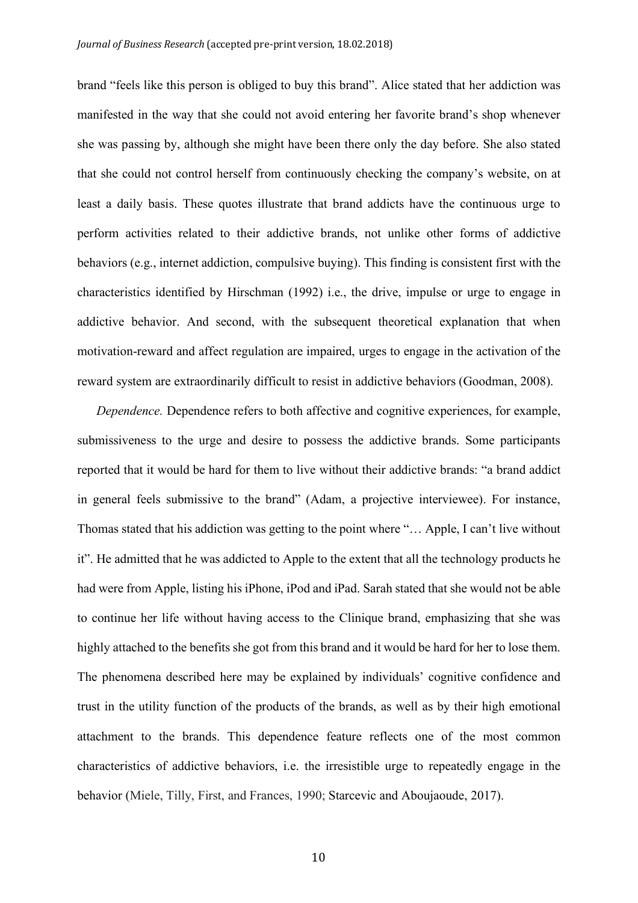brand "feels like this person is obliged to buy this brand". Alice stated that her addiction was manifested in the way that she could not avoid entering her favorite brand's shop whenever she was passing by, although she might have been there only the day before. She also stated that she could not control herself from continuously checking the company's website, on at least a daily basis. These quotes illustrate that brand addicts have the continuous urge to perform activities related to their addictive brands, not unlike other forms of addictive behaviors (e.g., internet addiction, compulsive buying). This finding is consistent first with the characteristics identified by Hirschman (1992) i.e., the drive, impulse or urge to engage in addictive behavior. And second, with the subsequent theoretical explanation that when motivation-reward and affect regulation are impaired, urges to engage in the activation of the reward system are extraordinarily difficult to resist in addictive behaviors (Goodman, 2008).

*Dependence.* Dependence refers to both affective and cognitive experiences, for example, submissiveness to the urge and desire to possess the addictive brands. Some participants reported that it would be hard for them to live without their addictive brands: "a brand addict in general feels submissive to the brand" (Adam, a projective interviewee). For instance, Thomas stated that his addiction was getting to the point where "… Apple, I can't live without it". He admitted that he was addicted to Apple to the extent that all the technology products he had were from Apple, listing his iPhone, iPod and iPad. Sarah stated that she would not be able to continue her life without having access to the Clinique brand, emphasizing that she was highly attached to the benefits she got from this brand and it would be hard for her to lose them. The phenomena described here may be explained by individuals' cognitive confidence and trust in the utility function of the products of the brands, as well as by their high emotional attachment to the brands. This dependence feature reflects one of the most common characteristics of addictive behaviors, i.e. the irresistible urge to repeatedly engage in the behavior (Miele, Tilly, First, and Frances, 1990; Starcevic and Aboujaoude, 2017).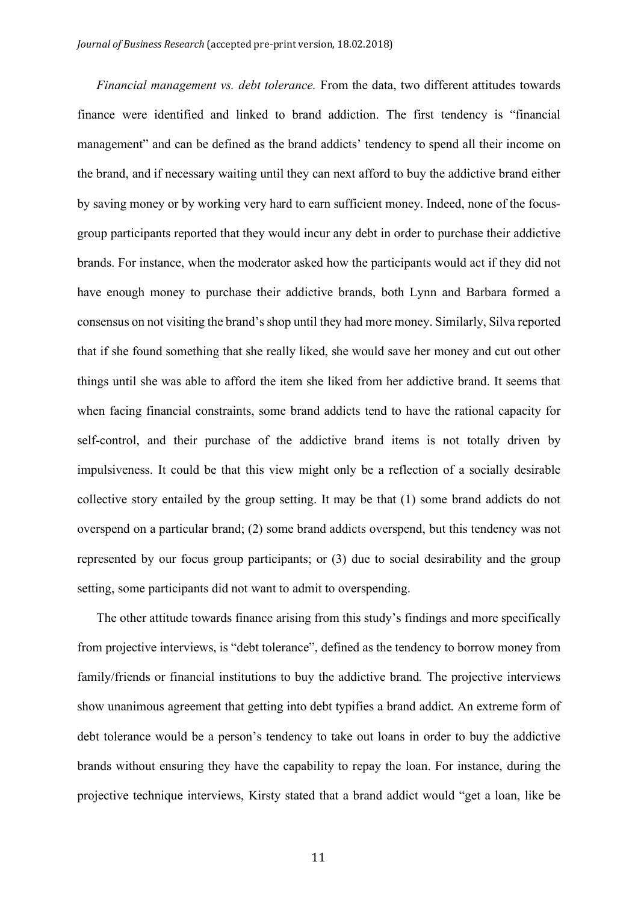*Financial management vs. debt tolerance.* From the data, two different attitudes towards finance were identified and linked to brand addiction. The first tendency is "financial management" and can be defined as the brand addicts' tendency to spend all their income on the brand, and if necessary waiting until they can next afford to buy the addictive brand either by saving money or by working very hard to earn sufficient money. Indeed, none of the focusgroup participants reported that they would incur any debt in order to purchase their addictive brands. For instance, when the moderator asked how the participants would act if they did not have enough money to purchase their addictive brands, both Lynn and Barbara formed a consensus on not visiting the brand's shop until they had more money. Similarly, Silva reported that if she found something that she really liked, she would save her money and cut out other things until she was able to afford the item she liked from her addictive brand. It seems that when facing financial constraints, some brand addicts tend to have the rational capacity for self-control, and their purchase of the addictive brand items is not totally driven by impulsiveness. It could be that this view might only be a reflection of a socially desirable collective story entailed by the group setting. It may be that (1) some brand addicts do not overspend on a particular brand; (2) some brand addicts overspend, but this tendency was not represented by our focus group participants; or (3) due to social desirability and the group setting, some participants did not want to admit to overspending.

The other attitude towards finance arising from this study's findings and more specifically from projective interviews, is "debt tolerance", defined as the tendency to borrow money from family/friends or financial institutions to buy the addictive brand*.* The projective interviews show unanimous agreement that getting into debt typifies a brand addict. An extreme form of debt tolerance would be a person's tendency to take out loans in order to buy the addictive brands without ensuring they have the capability to repay the loan. For instance, during the projective technique interviews, Kirsty stated that a brand addict would "get a loan, like be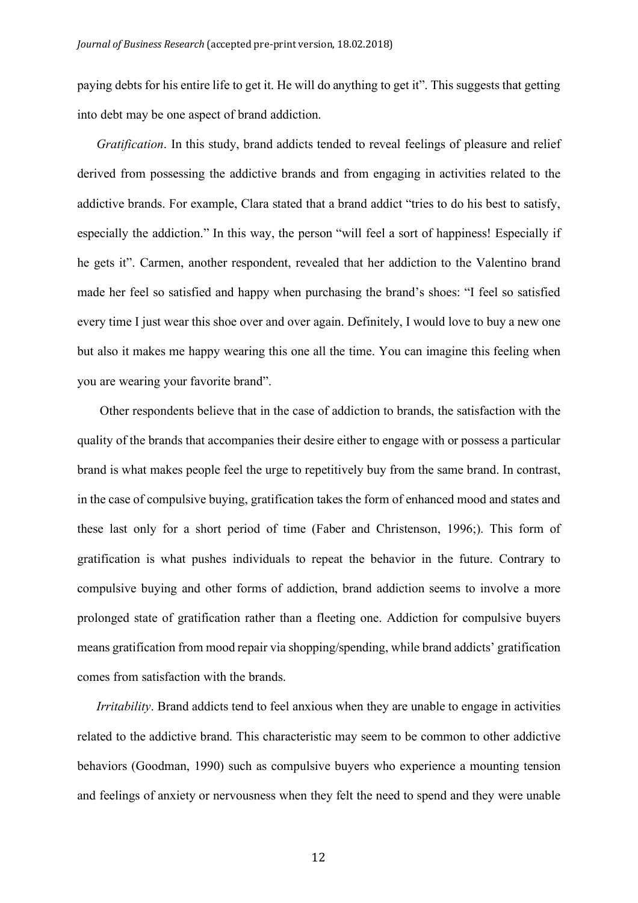paying debts for his entire life to get it. He will do anything to get it". This suggests that getting into debt may be one aspect of brand addiction.

*Gratification*. In this study, brand addicts tended to reveal feelings of pleasure and relief derived from possessing the addictive brands and from engaging in activities related to the addictive brands. For example, Clara stated that a brand addict "tries to do his best to satisfy, especially the addiction." In this way, the person "will feel a sort of happiness! Especially if he gets it". Carmen, another respondent, revealed that her addiction to the Valentino brand made her feel so satisfied and happy when purchasing the brand's shoes: "I feel so satisfied every time I just wear this shoe over and over again. Definitely, I would love to buy a new one but also it makes me happy wearing this one all the time. You can imagine this feeling when you are wearing your favorite brand".

Other respondents believe that in the case of addiction to brands, the satisfaction with the quality of the brands that accompanies their desire either to engage with or possess a particular brand is what makes people feel the urge to repetitively buy from the same brand. In contrast, in the case of compulsive buying, gratification takes the form of enhanced mood and states and these last only for a short period of time (Faber and Christenson, 1996;). This form of gratification is what pushes individuals to repeat the behavior in the future. Contrary to compulsive buying and other forms of addiction, brand addiction seems to involve a more prolonged state of gratification rather than a fleeting one. Addiction for compulsive buyers means gratification from mood repair via shopping/spending, while brand addicts' gratification comes from satisfaction with the brands.

*Irritability*. Brand addicts tend to feel anxious when they are unable to engage in activities related to the addictive brand. This characteristic may seem to be common to other addictive behaviors (Goodman, 1990) such as compulsive buyers who experience a mounting tension and feelings of anxiety or nervousness when they felt the need to spend and they were unable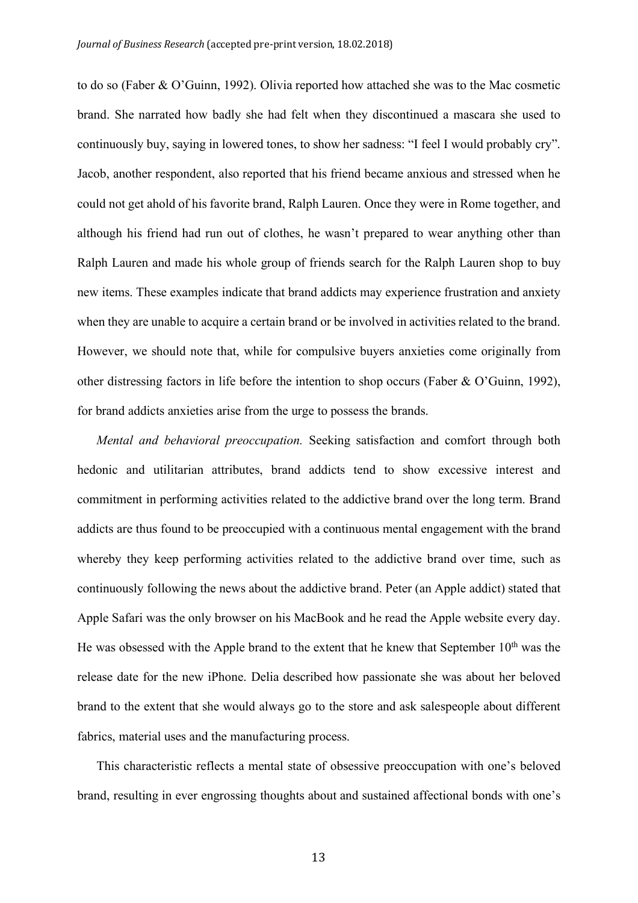to do so (Faber & O'Guinn, 1992). Olivia reported how attached she was to the Mac cosmetic brand. She narrated how badly she had felt when they discontinued a mascara she used to continuously buy, saying in lowered tones, to show her sadness: "I feel I would probably cry". Jacob, another respondent, also reported that his friend became anxious and stressed when he could not get ahold of his favorite brand, Ralph Lauren. Once they were in Rome together, and although his friend had run out of clothes, he wasn't prepared to wear anything other than Ralph Lauren and made his whole group of friends search for the Ralph Lauren shop to buy new items. These examples indicate that brand addicts may experience frustration and anxiety when they are unable to acquire a certain brand or be involved in activities related to the brand. However, we should note that, while for compulsive buyers anxieties come originally from other distressing factors in life before the intention to shop occurs (Faber & O'Guinn, 1992), for brand addicts anxieties arise from the urge to possess the brands.

*Mental and behavioral preoccupation.* Seeking satisfaction and comfort through both hedonic and utilitarian attributes, brand addicts tend to show excessive interest and commitment in performing activities related to the addictive brand over the long term. Brand addicts are thus found to be preoccupied with a continuous mental engagement with the brand whereby they keep performing activities related to the addictive brand over time, such as continuously following the news about the addictive brand. Peter (an Apple addict) stated that Apple Safari was the only browser on his MacBook and he read the Apple website every day. He was obsessed with the Apple brand to the extent that he knew that September  $10<sup>th</sup>$  was the release date for the new iPhone. Delia described how passionate she was about her beloved brand to the extent that she would always go to the store and ask salespeople about different fabrics, material uses and the manufacturing process.

This characteristic reflects a mental state of obsessive preoccupation with one's beloved brand, resulting in ever engrossing thoughts about and sustained affectional bonds with one's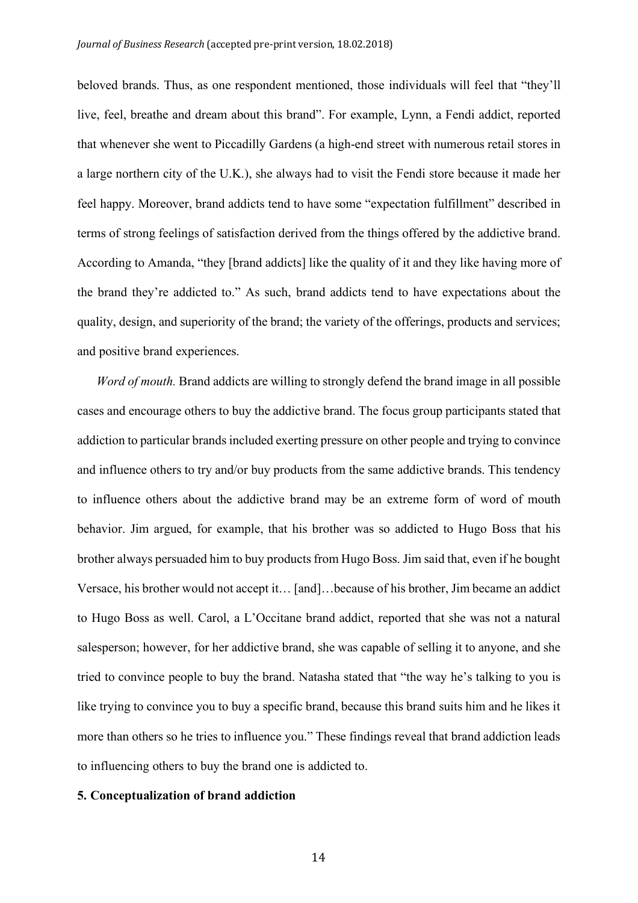beloved brands. Thus, as one respondent mentioned, those individuals will feel that "they'll live, feel, breathe and dream about this brand". For example, Lynn, a Fendi addict, reported that whenever she went to Piccadilly Gardens (a high-end street with numerous retail stores in a large northern city of the U.K.), she always had to visit the Fendi store because it made her feel happy. Moreover, brand addicts tend to have some "expectation fulfillment" described in terms of strong feelings of satisfaction derived from the things offered by the addictive brand. According to Amanda, "they [brand addicts] like the quality of it and they like having more of the brand they're addicted to." As such, brand addicts tend to have expectations about the quality, design, and superiority of the brand; the variety of the offerings, products and services; and positive brand experiences.

*Word of mouth.* Brand addicts are willing to strongly defend the brand image in all possible cases and encourage others to buy the addictive brand. The focus group participants stated that addiction to particular brands included exerting pressure on other people and trying to convince and influence others to try and/or buy products from the same addictive brands. This tendency to influence others about the addictive brand may be an extreme form of word of mouth behavior. Jim argued, for example, that his brother was so addicted to Hugo Boss that his brother always persuaded him to buy products from Hugo Boss. Jim said that, even if he bought Versace, his brother would not accept it… [and]…because of his brother, Jim became an addict to Hugo Boss as well. Carol, a L'Occitane brand addict, reported that she was not a natural salesperson; however, for her addictive brand, she was capable of selling it to anyone, and she tried to convince people to buy the brand. Natasha stated that "the way he's talking to you is like trying to convince you to buy a specific brand, because this brand suits him and he likes it more than others so he tries to influence you." These findings reveal that brand addiction leads to influencing others to buy the brand one is addicted to.

## **5. Conceptualization of brand addiction**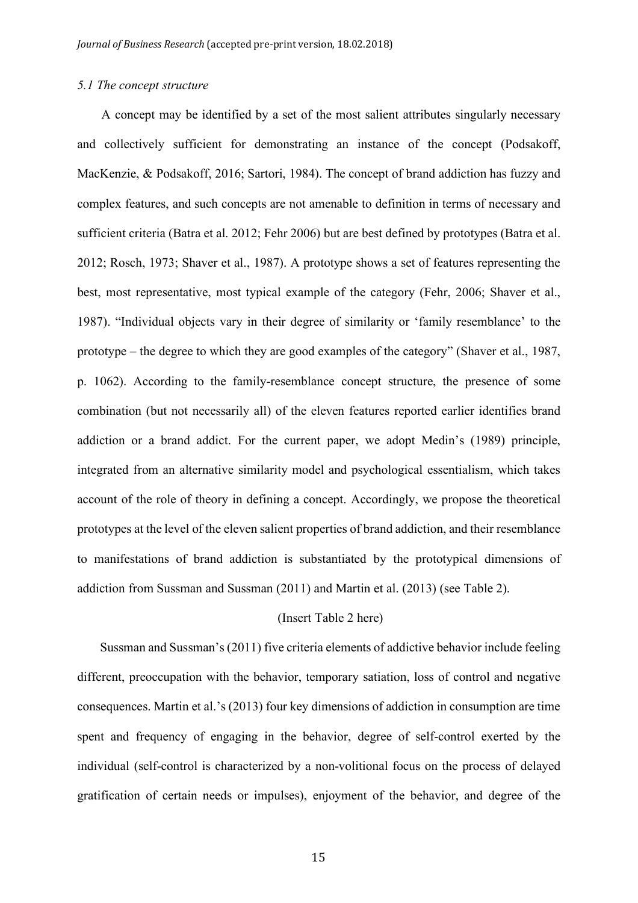## *5.1 The concept structure*

A concept may be identified by a set of the most salient attributes singularly necessary and collectively sufficient for demonstrating an instance of the concept (Podsakoff, MacKenzie, & Podsakoff, 2016; Sartori, 1984). The concept of brand addiction has fuzzy and complex features, and such concepts are not amenable to definition in terms of necessary and sufficient criteria (Batra et al. 2012; Fehr 2006) but are best defined by prototypes (Batra et al. 2012; Rosch, 1973; Shaver et al., 1987). A prototype shows a set of features representing the best, most representative, most typical example of the category (Fehr, 2006; Shaver et al., 1987). "Individual objects vary in their degree of similarity or 'family resemblance' to the prototype – the degree to which they are good examples of the category" (Shaver et al., 1987, p. 1062). According to the family-resemblance concept structure, the presence of some combination (but not necessarily all) of the eleven features reported earlier identifies brand addiction or a brand addict. For the current paper, we adopt Medin's (1989) principle, integrated from an alternative similarity model and psychological essentialism, which takes account of the role of theory in defining a concept. Accordingly, we propose the theoretical prototypes at the level of the eleven salient properties of brand addiction, and their resemblance to manifestations of brand addiction is substantiated by the prototypical dimensions of addiction from Sussman and Sussman (2011) and Martin et al. (2013) (see Table 2).

## (Insert Table 2 here)

Sussman and Sussman's (2011) five criteria elements of addictive behavior include feeling different, preoccupation with the behavior, temporary satiation, loss of control and negative consequences. Martin et al.'s (2013) four key dimensions of addiction in consumption are time spent and frequency of engaging in the behavior, degree of self-control exerted by the individual (self-control is characterized by a non-volitional focus on the process of delayed gratification of certain needs or impulses), enjoyment of the behavior, and degree of the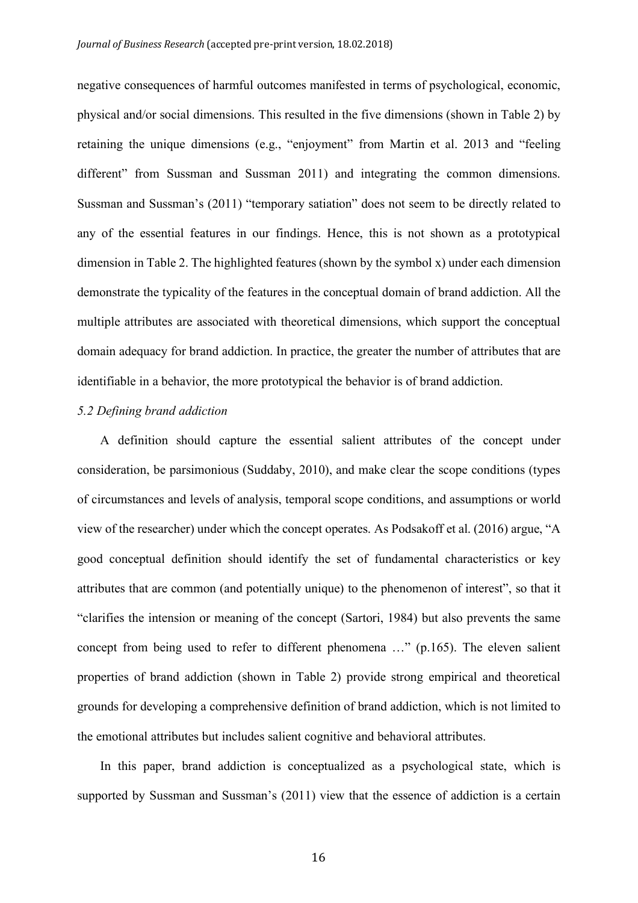negative consequences of harmful outcomes manifested in terms of psychological, economic, physical and/or social dimensions. This resulted in the five dimensions (shown in Table 2) by retaining the unique dimensions (e.g., "enjoyment" from Martin et al. 2013 and "feeling different" from Sussman and Sussman 2011) and integrating the common dimensions. Sussman and Sussman's (2011) "temporary satiation" does not seem to be directly related to any of the essential features in our findings. Hence, this is not shown as a prototypical dimension in Table 2. The highlighted features (shown by the symbol x) under each dimension demonstrate the typicality of the features in the conceptual domain of brand addiction. All the multiple attributes are associated with theoretical dimensions, which support the conceptual domain adequacy for brand addiction. In practice, the greater the number of attributes that are identifiable in a behavior, the more prototypical the behavior is of brand addiction.

## *5.2 Defining brand addiction*

A definition should capture the essential salient attributes of the concept under consideration, be parsimonious (Suddaby, 2010), and make clear the scope conditions (types of circumstances and levels of analysis, temporal scope conditions, and assumptions or world view of the researcher) under which the concept operates. As Podsakoff et al. (2016) argue, "A good conceptual definition should identify the set of fundamental characteristics or key attributes that are common (and potentially unique) to the phenomenon of interest", so that it "clarifies the intension or meaning of the concept (Sartori, 1984) but also prevents the same concept from being used to refer to different phenomena …" (p.165). The eleven salient properties of brand addiction (shown in Table 2) provide strong empirical and theoretical grounds for developing a comprehensive definition of brand addiction, which is not limited to the emotional attributes but includes salient cognitive and behavioral attributes.

In this paper, brand addiction is conceptualized as a psychological state, which is supported by Sussman and Sussman's (2011) view that the essence of addiction is a certain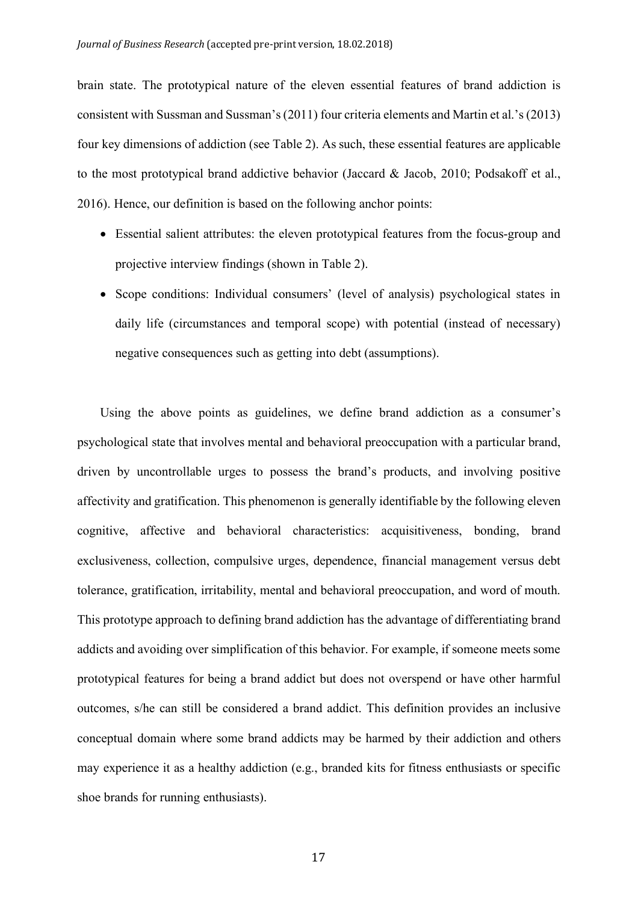brain state. The prototypical nature of the eleven essential features of brand addiction is consistent with Sussman and Sussman's (2011) four criteria elements and Martin et al.'s (2013) four key dimensions of addiction (see Table 2). As such, these essential features are applicable to the most prototypical brand addictive behavior (Jaccard & Jacob, 2010; Podsakoff et al., 2016). Hence, our definition is based on the following anchor points:

- Essential salient attributes: the eleven prototypical features from the focus-group and projective interview findings (shown in Table 2).
- Scope conditions: Individual consumers' (level of analysis) psychological states in daily life (circumstances and temporal scope) with potential (instead of necessary) negative consequences such as getting into debt (assumptions).

Using the above points as guidelines, we define brand addiction as a consumer's psychological state that involves mental and behavioral preoccupation with a particular brand, driven by uncontrollable urges to possess the brand's products, and involving positive affectivity and gratification. This phenomenon is generally identifiable by the following eleven cognitive, affective and behavioral characteristics: acquisitiveness, bonding, brand exclusiveness, collection, compulsive urges, dependence, financial management versus debt tolerance, gratification, irritability, mental and behavioral preoccupation, and word of mouth. This prototype approach to defining brand addiction has the advantage of differentiating brand addicts and avoiding over simplification of this behavior. For example, if someone meets some prototypical features for being a brand addict but does not overspend or have other harmful outcomes, s/he can still be considered a brand addict. This definition provides an inclusive conceptual domain where some brand addicts may be harmed by their addiction and others may experience it as a healthy addiction (e.g., branded kits for fitness enthusiasts or specific shoe brands for running enthusiasts).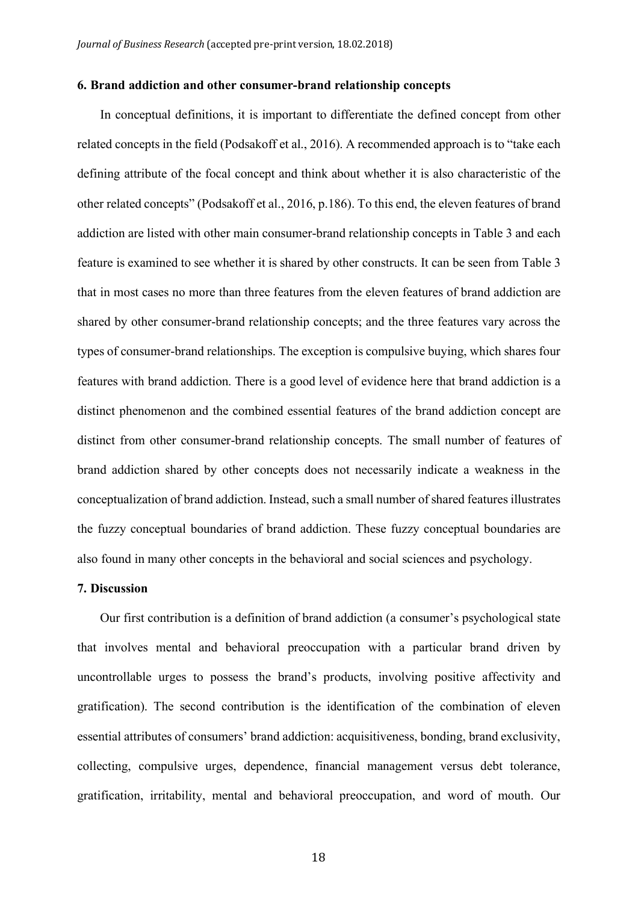#### **6. Brand addiction and other consumer-brand relationship concepts**

In conceptual definitions, it is important to differentiate the defined concept from other related concepts in the field (Podsakoff et al., 2016). A recommended approach is to "take each defining attribute of the focal concept and think about whether it is also characteristic of the other related concepts" (Podsakoff et al., 2016, p.186). To this end, the eleven features of brand addiction are listed with other main consumer-brand relationship concepts in Table 3 and each feature is examined to see whether it is shared by other constructs. It can be seen from Table 3 that in most cases no more than three features from the eleven features of brand addiction are shared by other consumer-brand relationship concepts; and the three features vary across the types of consumer-brand relationships. The exception is compulsive buying, which shares four features with brand addiction. There is a good level of evidence here that brand addiction is a distinct phenomenon and the combined essential features of the brand addiction concept are distinct from other consumer-brand relationship concepts. The small number of features of brand addiction shared by other concepts does not necessarily indicate a weakness in the conceptualization of brand addiction. Instead, such a small number of shared features illustrates the fuzzy conceptual boundaries of brand addiction. These fuzzy conceptual boundaries are also found in many other concepts in the behavioral and social sciences and psychology.

## **7. Discussion**

Our first contribution is a definition of brand addiction (a consumer's psychological state that involves mental and behavioral preoccupation with a particular brand driven by uncontrollable urges to possess the brand's products, involving positive affectivity and gratification). The second contribution is the identification of the combination of eleven essential attributes of consumers' brand addiction: acquisitiveness, bonding, brand exclusivity, collecting, compulsive urges, dependence, financial management versus debt tolerance, gratification, irritability, mental and behavioral preoccupation, and word of mouth. Our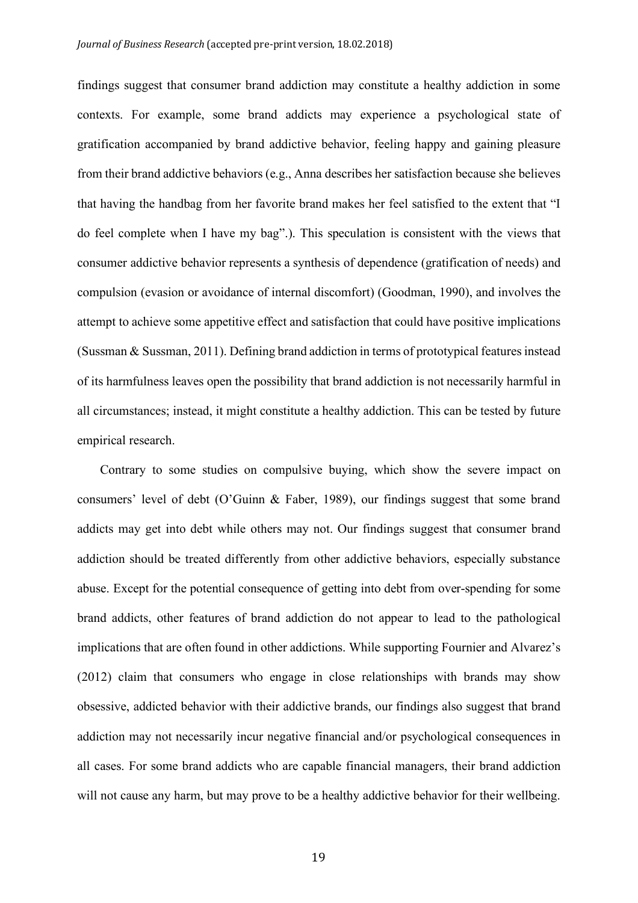findings suggest that consumer brand addiction may constitute a healthy addiction in some contexts. For example, some brand addicts may experience a psychological state of gratification accompanied by brand addictive behavior, feeling happy and gaining pleasure from their brand addictive behaviors (e.g., Anna describes her satisfaction because she believes that having the handbag from her favorite brand makes her feel satisfied to the extent that "I do feel complete when I have my bag".). This speculation is consistent with the views that consumer addictive behavior represents a synthesis of dependence (gratification of needs) and compulsion (evasion or avoidance of internal discomfort) (Goodman, 1990), and involves the attempt to achieve some appetitive effect and satisfaction that could have positive implications (Sussman & Sussman, 2011). Defining brand addiction in terms of prototypical features instead of its harmfulness leaves open the possibility that brand addiction is not necessarily harmful in all circumstances; instead, it might constitute a healthy addiction. This can be tested by future empirical research.

Contrary to some studies on compulsive buying, which show the severe impact on consumers' level of debt (O'Guinn & Faber, 1989), our findings suggest that some brand addicts may get into debt while others may not. Our findings suggest that consumer brand addiction should be treated differently from other addictive behaviors, especially substance abuse. Except for the potential consequence of getting into debt from over-spending for some brand addicts, other features of brand addiction do not appear to lead to the pathological implications that are often found in other addictions. While supporting Fournier and Alvarez's (2012) claim that consumers who engage in close relationships with brands may show obsessive, addicted behavior with their addictive brands, our findings also suggest that brand addiction may not necessarily incur negative financial and/or psychological consequences in all cases. For some brand addicts who are capable financial managers, their brand addiction will not cause any harm, but may prove to be a healthy addictive behavior for their wellbeing.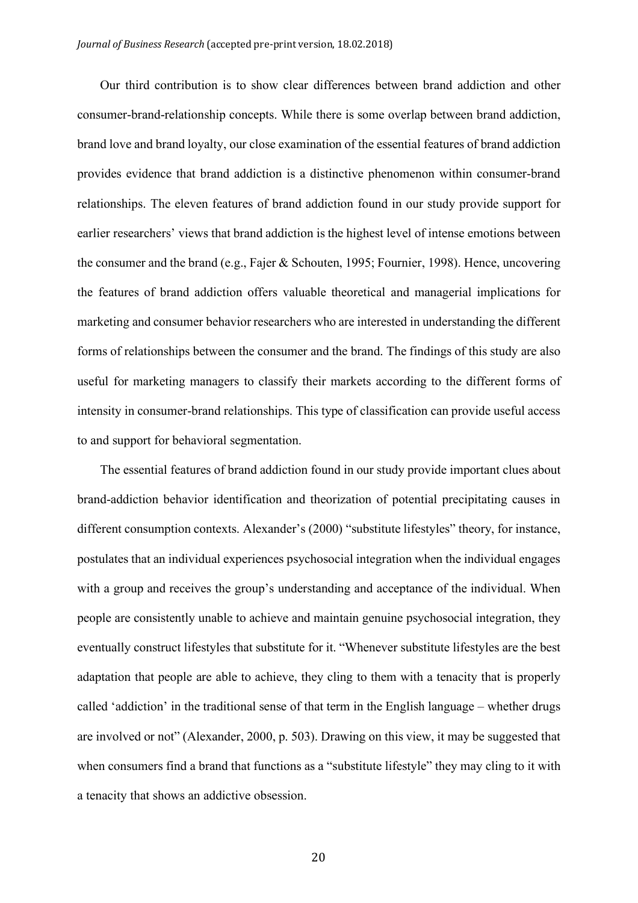Our third contribution is to show clear differences between brand addiction and other consumer-brand-relationship concepts. While there is some overlap between brand addiction, brand love and brand loyalty, our close examination of the essential features of brand addiction provides evidence that brand addiction is a distinctive phenomenon within consumer-brand relationships. The eleven features of brand addiction found in our study provide support for earlier researchers' views that brand addiction is the highest level of intense emotions between the consumer and the brand (e.g., Fajer & Schouten, 1995; Fournier, 1998). Hence, uncovering the features of brand addiction offers valuable theoretical and managerial implications for marketing and consumer behavior researchers who are interested in understanding the different forms of relationships between the consumer and the brand. The findings of this study are also useful for marketing managers to classify their markets according to the different forms of intensity in consumer-brand relationships. This type of classification can provide useful access to and support for behavioral segmentation.

The essential features of brand addiction found in our study provide important clues about brand-addiction behavior identification and theorization of potential precipitating causes in different consumption contexts. Alexander's (2000) "substitute lifestyles" theory, for instance, postulates that an individual experiences psychosocial integration when the individual engages with a group and receives the group's understanding and acceptance of the individual. When people are consistently unable to achieve and maintain genuine psychosocial integration, they eventually construct lifestyles that substitute for it. "Whenever substitute lifestyles are the best adaptation that people are able to achieve, they cling to them with a tenacity that is properly called 'addiction' in the traditional sense of that term in the English language – whether drugs are involved or not" (Alexander, 2000, p. 503). Drawing on this view, it may be suggested that when consumers find a brand that functions as a "substitute lifestyle" they may cling to it with a tenacity that shows an addictive obsession.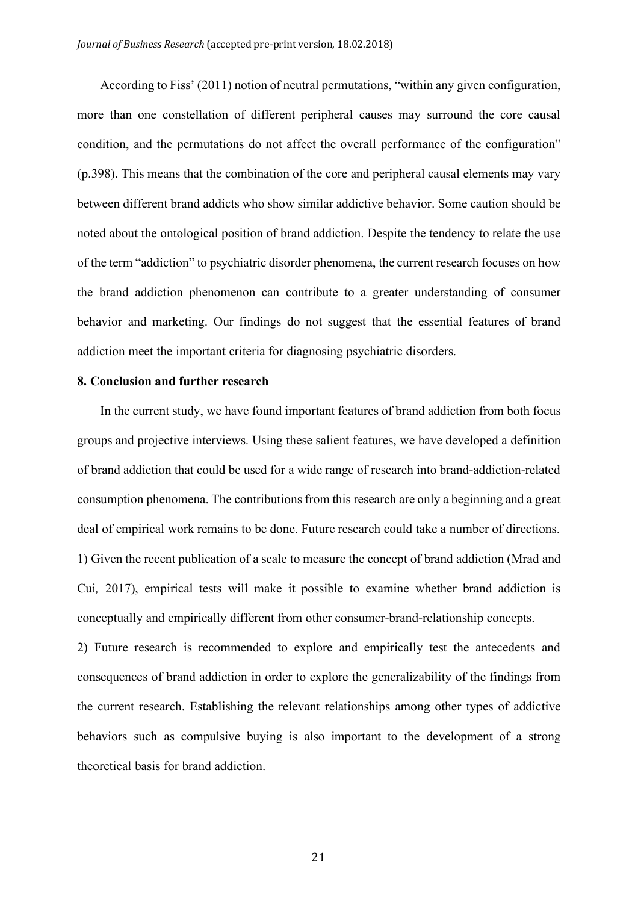According to Fiss' (2011) notion of neutral permutations, "within any given configuration, more than one constellation of different peripheral causes may surround the core causal condition, and the permutations do not affect the overall performance of the configuration" (p.398). This means that the combination of the core and peripheral causal elements may vary between different brand addicts who show similar addictive behavior. Some caution should be noted about the ontological position of brand addiction. Despite the tendency to relate the use of the term "addiction" to psychiatric disorder phenomena, the current research focuses on how the brand addiction phenomenon can contribute to a greater understanding of consumer behavior and marketing. Our findings do not suggest that the essential features of brand addiction meet the important criteria for diagnosing psychiatric disorders.

## **8. Conclusion and further research**

In the current study, we have found important features of brand addiction from both focus groups and projective interviews. Using these salient features, we have developed a definition of brand addiction that could be used for a wide range of research into brand-addiction-related consumption phenomena. The contributions from this research are only a beginning and a great deal of empirical work remains to be done. Future research could take a number of directions. 1) Given the recent publication of a scale to measure the concept of brand addiction (Mrad and Cui*,* 2017), empirical tests will make it possible to examine whether brand addiction is conceptually and empirically different from other consumer-brand-relationship concepts.

2) Future research is recommended to explore and empirically test the antecedents and consequences of brand addiction in order to explore the generalizability of the findings from the current research. Establishing the relevant relationships among other types of addictive behaviors such as compulsive buying is also important to the development of a strong theoretical basis for brand addiction.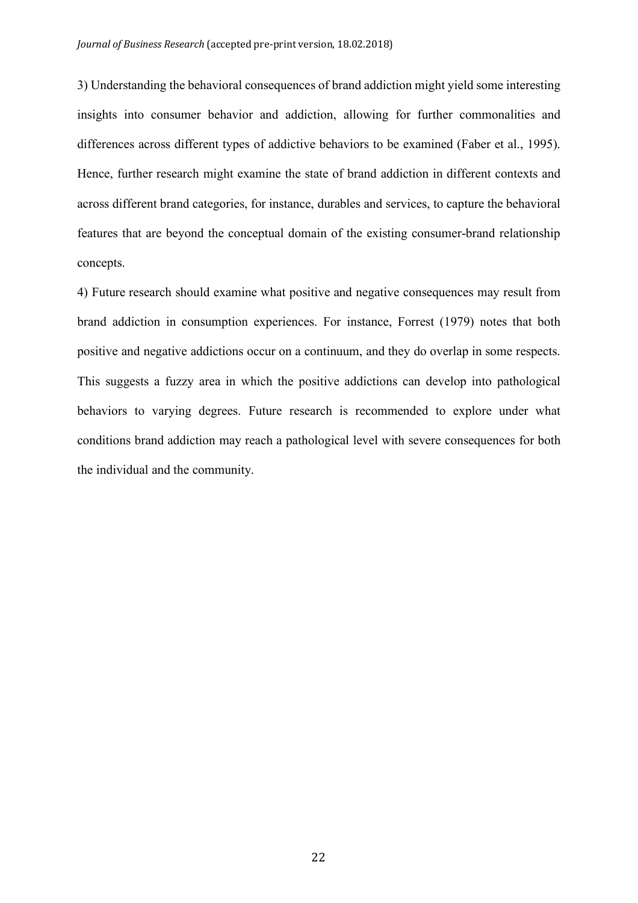3) Understanding the behavioral consequences of brand addiction might yield some interesting insights into consumer behavior and addiction, allowing for further commonalities and differences across different types of addictive behaviors to be examined (Faber et al., 1995). Hence, further research might examine the state of brand addiction in different contexts and across different brand categories, for instance, durables and services, to capture the behavioral features that are beyond the conceptual domain of the existing consumer-brand relationship concepts.

4) Future research should examine what positive and negative consequences may result from brand addiction in consumption experiences. For instance, Forrest (1979) notes that both positive and negative addictions occur on a continuum, and they do overlap in some respects. This suggests a fuzzy area in which the positive addictions can develop into pathological behaviors to varying degrees. Future research is recommended to explore under what conditions brand addiction may reach a pathological level with severe consequences for both the individual and the community.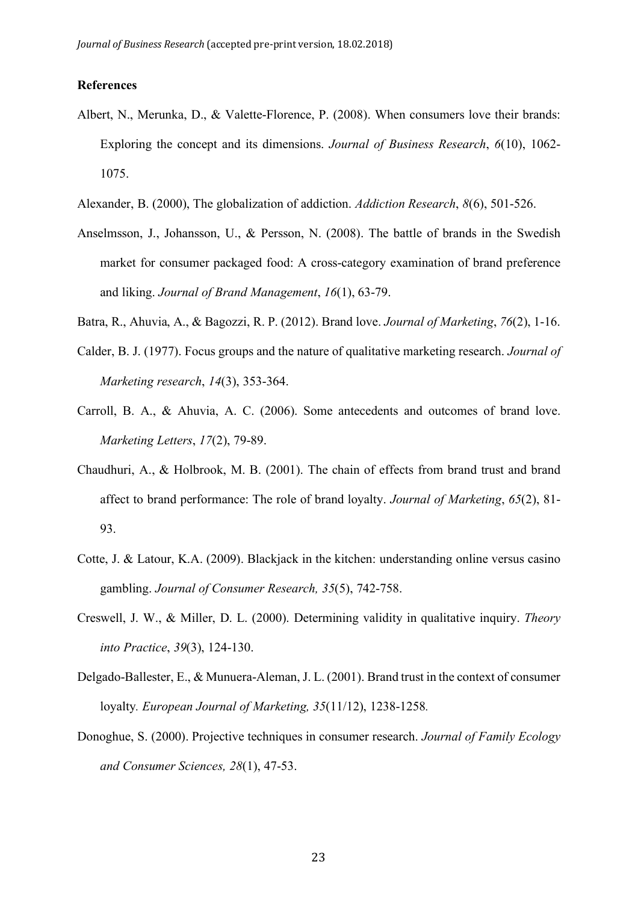### **References**

- Albert, N., Merunka, D., & Valette-Florence, P. (2008). When consumers love their brands: Exploring the concept and its dimensions. *Journal of Business Research*, *6*(10), 1062- 1075.
- Alexander, B. (2000), The globalization of addiction. *Addiction Research*, *8*(6), 501-526.
- Anselmsson, J., Johansson, U., & Persson, N. (2008). The battle of brands in the Swedish market for consumer packaged food: A cross-category examination of brand preference and liking. *Journal of Brand Management*, *16*(1), 63-79.
- Batra, R., Ahuvia, A., & Bagozzi, R. P. (2012). Brand love. *Journal of Marketing*, *76*(2), 1-16.
- Calder, B. J. (1977). Focus groups and the nature of qualitative marketing research. *Journal of Marketing research*, *14*(3), 353-364.
- Carroll, B. A., & Ahuvia, A. C. (2006). Some antecedents and outcomes of brand love. *Marketing Letters*, *17*(2), 79-89.
- Chaudhuri, A., & Holbrook, M. B. (2001). The chain of effects from brand trust and brand affect to brand performance: The role of brand loyalty. *Journal of Marketing*, *65*(2), 81- 93.
- Cotte, J. & Latour, K.A. (2009). Blackjack in the kitchen: understanding online versus casino gambling. *Journal of Consumer Research, 35*(5), 742-758.
- Creswell, J. W., & Miller, D. L. (2000). Determining validity in qualitative inquiry. *Theory into Practice*, *39*(3), 124-130.
- Delgado-Ballester, E., & Munuera-Aleman, J. L. (2001). Brand trust in the context of consumer loyalty*. European Journal of Marketing, 35*(11/12), 1238-1258*.*
- Donoghue, S. (2000). Projective techniques in consumer research. *Journal of Family Ecology and Consumer Sciences, 28*(1), 47-53.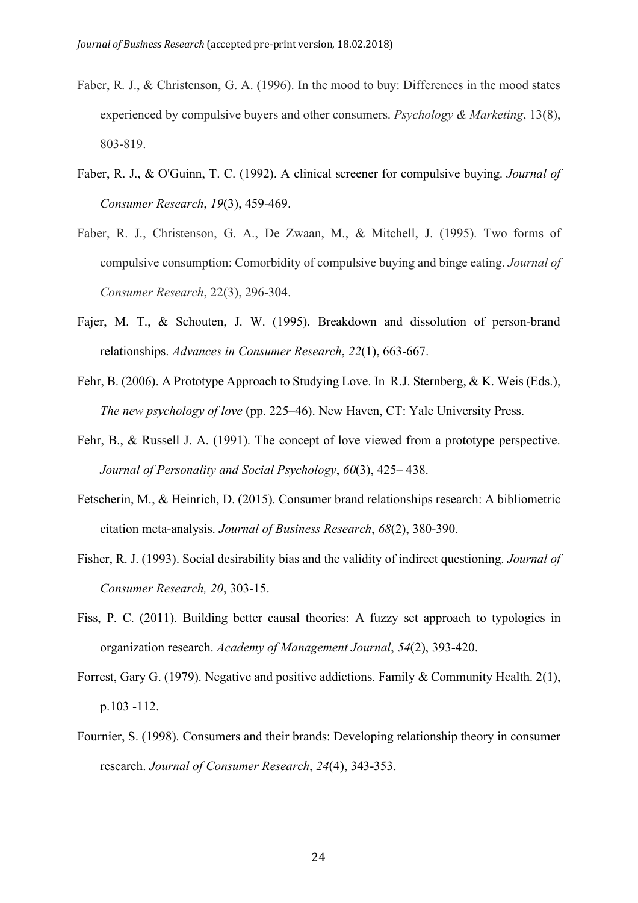- Faber, R. J., & Christenson, G. A. (1996). In the mood to buy: Differences in the mood states experienced by compulsive buyers and other consumers. *Psychology & Marketing*, 13(8), 803-819.
- Faber, R. J., & O'Guinn, T. C. (1992). A clinical screener for compulsive buying. *Journal of Consumer Research*, *19*(3), 459-469.
- Faber, R. J., Christenson, G. A., De Zwaan, M., & Mitchell, J. (1995). Two forms of compulsive consumption: Comorbidity of compulsive buying and binge eating. *Journal of Consumer Research*, 22(3), 296-304.
- Fajer, M. T., & Schouten, J. W. (1995). Breakdown and dissolution of person-brand relationships. *Advances in Consumer Research*, *22*(1), 663-667.
- Fehr, B. (2006). A Prototype Approach to Studying Love. In R.J. Sternberg, & K. Weis (Eds.), *The new psychology of love* (pp. 225–46). New Haven, CT: Yale University Press.
- Fehr, B., & Russell J. A. (1991). The concept of love viewed from a prototype perspective. *Journal of Personality and Social Psychology*, *60*(3), 425– 438.
- Fetscherin, M., & Heinrich, D. (2015). Consumer brand relationships research: A bibliometric citation meta-analysis. *Journal of Business Research*, *68*(2), 380-390.
- Fisher, R. J. (1993). Social desirability bias and the validity of indirect questioning. *Journal of Consumer Research, 20*, 303-15.
- Fiss, P. C. (2011). Building better causal theories: A fuzzy set approach to typologies in organization research. *Academy of Management Journal*, *54*(2), 393-420.
- Forrest, Gary G. (1979). Negative and positive addictions. Family & Community Health. 2(1), p.103 -112.
- Fournier, S. (1998). Consumers and their brands: Developing relationship theory in consumer research. *Journal of Consumer Research*, *24*(4), 343-353.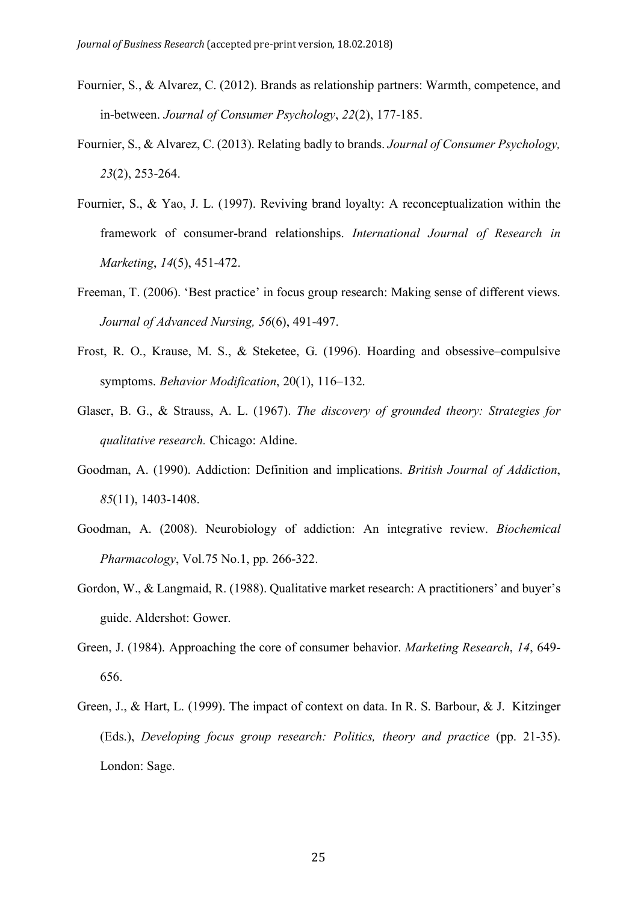- Fournier, S., & Alvarez, C. (2012). Brands as relationship partners: Warmth, competence, and in-between. *Journal of Consumer Psychology*, *22*(2), 177-185.
- Fournier, S., & Alvarez, C. (2013). Relating badly to brands. *Journal of Consumer Psychology, 23*(2), 253-264.
- Fournier, S., & Yao, J. L. (1997). Reviving brand loyalty: A reconceptualization within the framework of consumer-brand relationships. *International Journal of Research in Marketing*, *14*(5), 451-472.
- Freeman, T. (2006). 'Best practice' in focus group research: Making sense of different views. *Journal of Advanced Nursing, 56*(6), 491-497.
- Frost, R. O., Krause, M. S., & Steketee, G. (1996). Hoarding and obsessive–compulsive symptoms. *Behavior Modification*, 20(1), 116–132.
- Glaser, B. G., & Strauss, A. L. (1967). *The discovery of grounded theory: Strategies for qualitative research.* Chicago: Aldine.
- Goodman, A. (1990). Addiction: Definition and implications. *British Journal of Addiction*, *85*(11), 1403-1408.
- Goodman, A. (2008). Neurobiology of addiction: An integrative review. *Biochemical Pharmacology*, Vol.75 No.1, pp. 266-322.
- Gordon, W., & Langmaid, R. (1988). Qualitative market research: A practitioners' and buyer's guide. Aldershot: Gower.
- Green, J. (1984). Approaching the core of consumer behavior. *Marketing Research*, *14*, 649- 656.
- Green, J., & Hart, L. (1999). The impact of context on data. In R. S. Barbour, & J. Kitzinger (Eds.), *Developing focus group research: Politics, theory and practice* (pp. 21-35). London: Sage.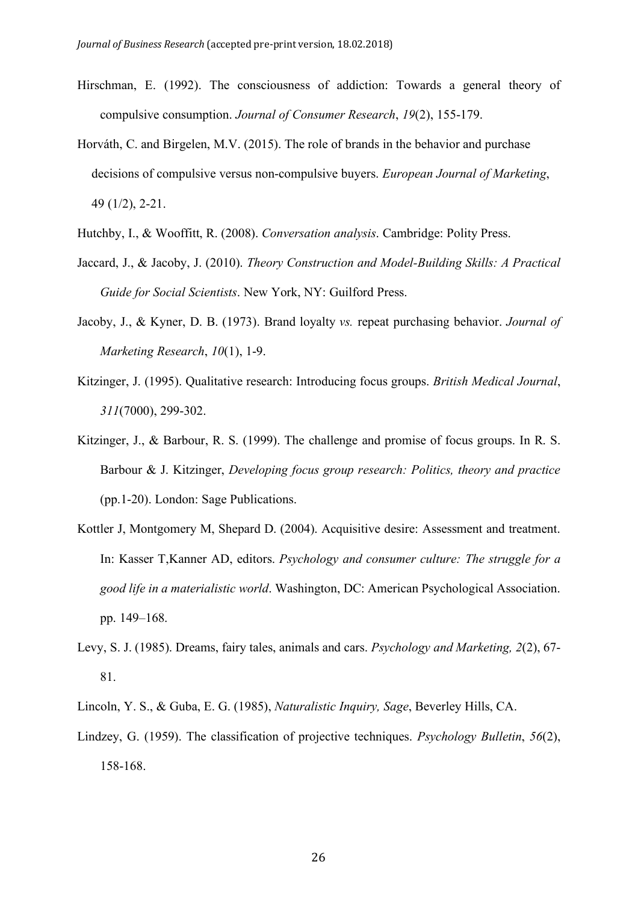- Hirschman, E. (1992). The consciousness of addiction: Towards a general theory of compulsive consumption. *Journal of Consumer Research*, *19*(2), 155-179.
- Horváth, C. and Birgelen, M.V. (2015). The role of brands in the behavior and purchase decisions of compulsive versus non-compulsive buyers. *European Journal of Marketing*, 49 (1/2), 2-21.
- Hutchby, I., & Wooffitt, R. (2008). *Conversation analysis*. Cambridge: Polity Press.
- Jaccard, J., & Jacoby, J. (2010). *Theory Construction and Model-Building Skills: A Practical Guide for Social Scientists*. New York, NY: Guilford Press.
- Jacoby, J., & Kyner, D. B. (1973). Brand loyalty *vs.* repeat purchasing behavior. *Journal of Marketing Research*, *10*(1), 1-9.
- Kitzinger, J. (1995). Qualitative research: Introducing focus groups. *British Medical Journal*, *311*(7000), 299-302.
- Kitzinger, J., & Barbour, R. S. (1999). The challenge and promise of focus groups. In R. S. Barbour & J. Kitzinger, *Developing focus group research: Politics, theory and practice*  (pp.1-20). London: Sage Publications.
- Kottler J, Montgomery M, Shepard D. (2004). Acquisitive desire: Assessment and treatment. In: Kasser T,Kanner AD, editors. *Psychology and consumer culture: The struggle for a good life in a materialistic world*. Washington, DC: American Psychological Association. pp. 149–168.
- Levy, S. J. (1985). Dreams, fairy tales, animals and cars. *Psychology and Marketing, 2*(2), 67- 81.
- Lincoln, Y. S., & Guba, E. G. (1985), *Naturalistic Inquiry, Sage*, Beverley Hills, CA.
- Lindzey, G. (1959). The classification of projective techniques. *Psychology Bulletin*, *56*(2), 158-168.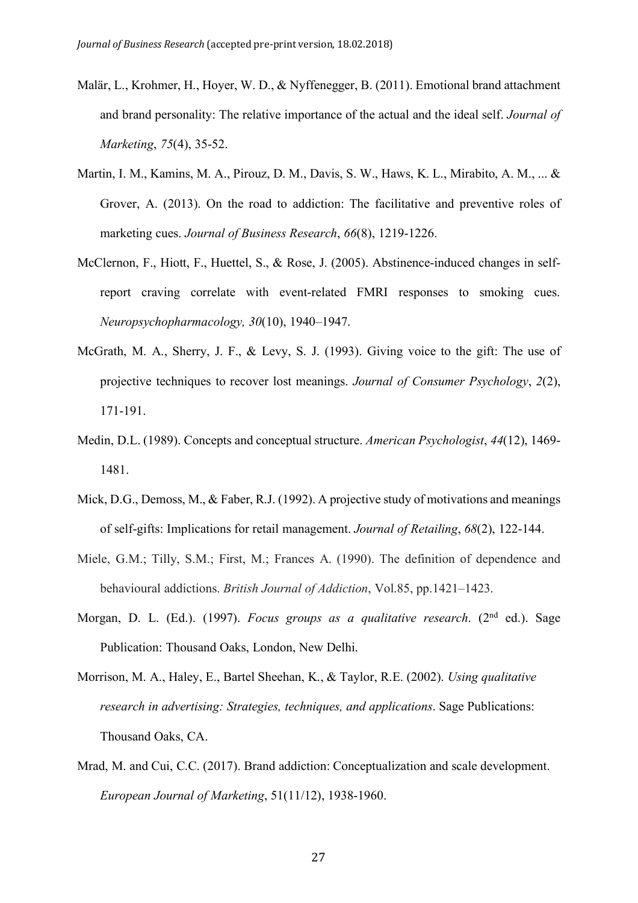- Malär, L., Krohmer, H., Hoyer, W. D., & Nyffenegger, B. (2011). Emotional brand attachment and brand personality: The relative importance of the actual and the ideal self. *Journal of Marketing*, *75*(4), 35-52.
- Martin, I. M., Kamins, M. A., Pirouz, D. M., Davis, S. W., Haws, K. L., Mirabito, A. M., ... & Grover, A. (2013). On the road to addiction: The facilitative and preventive roles of marketing cues. *Journal of Business Research*, *66*(8), 1219-1226.
- McClernon, F., Hiott, F., Huettel, S., & Rose, J. (2005). Abstinence-induced changes in selfreport craving correlate with event-related FMRI responses to smoking cues. *Neuropsychopharmacology, 30*(10), 1940–1947.
- McGrath, M. A., Sherry, J. F., & Levy, S. J. (1993). Giving voice to the gift: The use of projective techniques to recover lost meanings. *Journal of Consumer Psychology*, *2*(2), 171-191.
- Medin, D.L. (1989). Concepts and conceptual structure. *American Psychologist*, *44*(12), 1469- 1481.
- Mick, D.G., Demoss, M., & Faber, R.J. (1992). A projective study of motivations and meanings of self-gifts: Implications for retail management. *Journal of Retailing*, *68*(2), 122-144.
- Miele, G.M.; Tilly, S.M.; First, M.; Frances A. (1990). The definition of dependence and behavioural addictions. *British Journal of Addiction*, Vol.85, pp.1421–1423.
- Morgan, D. L. (Ed.). (1997). *Focus groups as a qualitative research*. (2nd ed.). Sage Publication: Thousand Oaks, London, New Delhi.
- Morrison, M. A., Haley, E., Bartel Sheehan, K., & Taylor, R.E. (2002). *Using qualitative research in advertising: Strategies, techniques, and applications*. Sage Publications: Thousand Oaks, CA.
- Mrad, M. and Cui, C.C. (2017). Brand addiction: Conceptualization and scale development. *European Journal of Marketing*, 51(11/12), 1938-1960.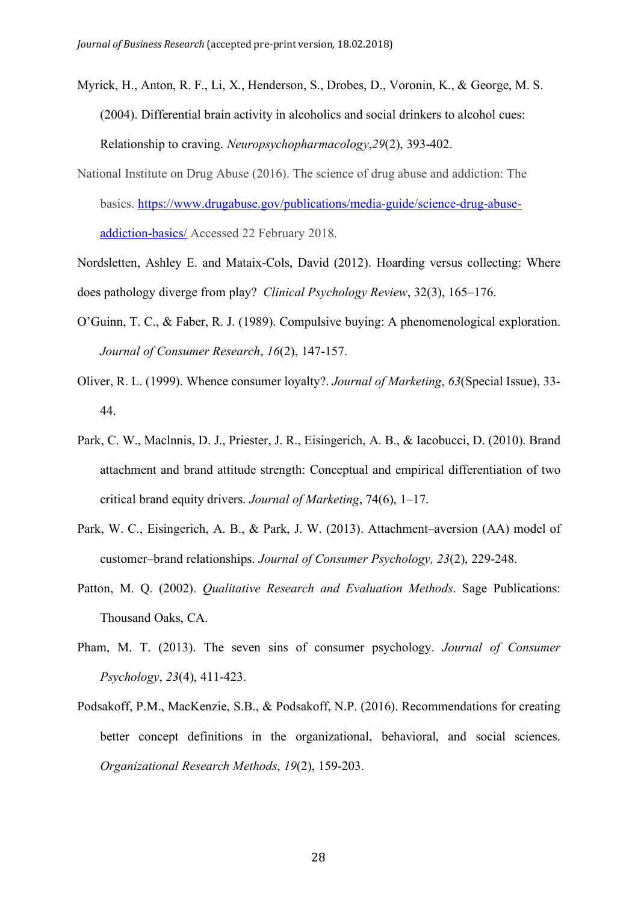- Myrick, H., Anton, R. F., Li, X., Henderson, S., Drobes, D., Voronin, K., & George, M. S. (2004). Differential brain activity in alcoholics and social drinkers to alcohol cues: Relationship to craving. *Neuropsychopharmacology*,*29*(2), 393-402.
- National Institute on Drug Abuse (2016). The science of drug abuse and addiction: The basics. https://www.drugabuse.gov/publications/media-guide/science-drug-abuseaddiction-basics/ Accessed 22 February 2018.
- Nordsletten, Ashley E. and Mataix-Cols, David (2012). Hoarding versus collecting: Where does pathology diverge from play? *Clinical Psychology Review*, 32(3), 165–176.
- O'Guinn, T. C., & Faber, R. J. (1989). Compulsive buying: A phenomenological exploration. *Journal of Consumer Research*, *16*(2), 147-157.
- Oliver, R. L. (1999). Whence consumer loyalty?. *Journal of Marketing*, *63*(Special Issue), 33- 44.
- Park, C. W., Maclnnis, D. J., Priester, J. R., Eisingerich, A. B., & Iacobucci, D. (2010). Brand attachment and brand attitude strength: Conceptual and empirical differentiation of two critical brand equity drivers. *Journal of Marketing*, 74(6), 1–17.
- Park, W. C., Eisingerich, A. B., & Park, J. W. (2013). Attachment–aversion (AA) model of customer–brand relationships. *Journal of Consumer Psychology, 23*(2), 229-248.
- Patton, M. Q. (2002). *Qualitative Research and Evaluation Methods*. Sage Publications: Thousand Oaks, CA.
- Pham, M. T. (2013). The seven sins of consumer psychology. *Journal of Consumer Psychology*, *23*(4), 411-423.
- Podsakoff, P.M., MacKenzie, S.B., & Podsakoff, N.P. (2016). Recommendations for creating better concept definitions in the organizational, behavioral, and social sciences. *Organizational Research Methods*, *19*(2), 159-203.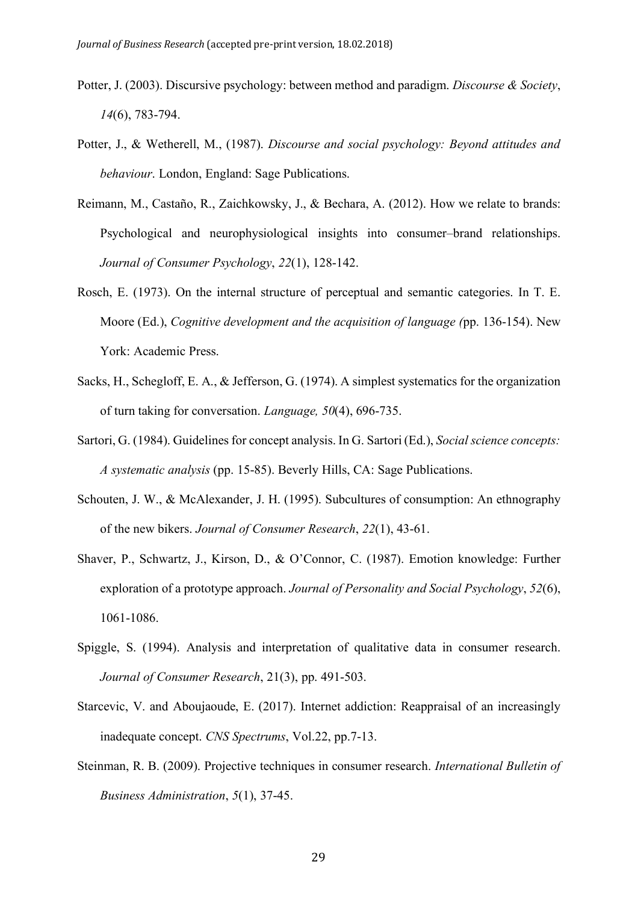- Potter, J. (2003). Discursive psychology: between method and paradigm. *Discourse & Society*, *14*(6), 783-794.
- Potter, J., & Wetherell, M., (1987). *Discourse and social psychology: Beyond attitudes and behaviour*. London, England: Sage Publications.
- Reimann, M., Castaño, R., Zaichkowsky, J., & Bechara, A. (2012). How we relate to brands: Psychological and neurophysiological insights into consumer–brand relationships. *Journal of Consumer Psychology*, *22*(1), 128-142.
- Rosch, E. (1973). On the internal structure of perceptual and semantic categories. In T. E. Moore (Ed.), *Cognitive development and the acquisition of language (*pp. 136-154). New York: Academic Press.
- Sacks, H., Schegloff, E. A., & Jefferson, G. (1974). A simplest systematics for the organization of turn taking for conversation. *Language, 50*(4), 696-735.
- Sartori, G. (1984). Guidelines for concept analysis. In G. Sartori (Ed.), *Social science concepts: A systematic analysis* (pp. 15-85). Beverly Hills, CA: Sage Publications.
- Schouten, J. W., & McAlexander, J. H. (1995). Subcultures of consumption: An ethnography of the new bikers. *Journal of Consumer Research*, *22*(1), 43-61.
- Shaver, P., Schwartz, J., Kirson, D., & O'Connor, C. (1987). Emotion knowledge: Further exploration of a prototype approach. *Journal of Personality and Social Psychology*, *52*(6), 1061-1086.
- Spiggle, S. (1994). Analysis and interpretation of qualitative data in consumer research. *Journal of Consumer Research*, 21(3), pp. 491-503.
- Starcevic, V. and Aboujaoude, E. (2017). Internet addiction: Reappraisal of an increasingly inadequate concept. *CNS Spectrums*, Vol.22, pp.7-13.
- Steinman, R. B. (2009). Projective techniques in consumer research. *International Bulletin of Business Administration*, *5*(1), 37-45.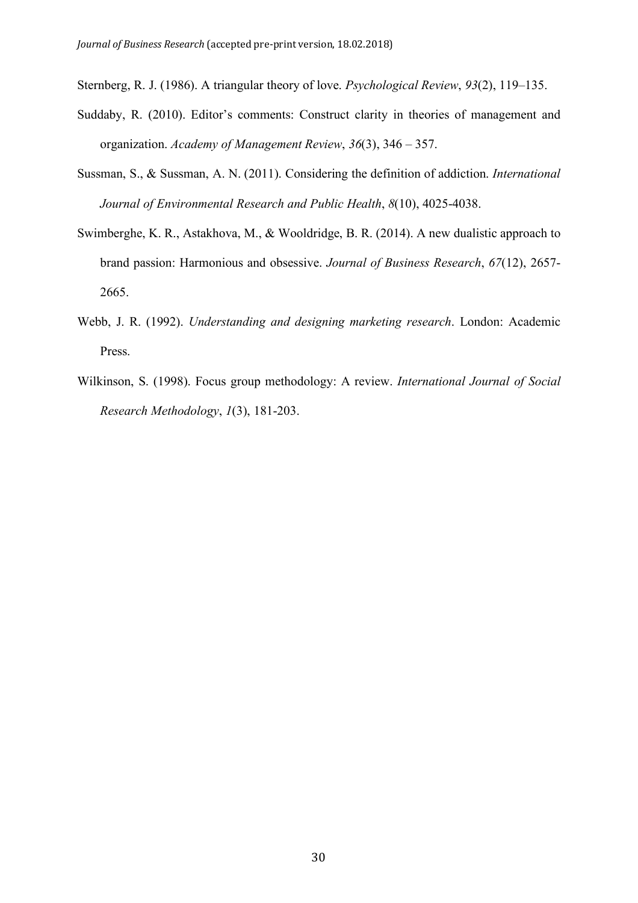Sternberg, R. J. (1986). A triangular theory of love. *Psychological Review*, *93*(2), 119–135.

- Suddaby, R. (2010). Editor's comments: Construct clarity in theories of management and organization. *Academy of Management Review*, *36*(3), 346 – 357.
- Sussman, S., & Sussman, A. N. (2011). Considering the definition of addiction. *International Journal of Environmental Research and Public Health*, *8*(10), 4025-4038.
- Swimberghe, K. R., Astakhova, M., & Wooldridge, B. R. (2014). A new dualistic approach to brand passion: Harmonious and obsessive. *Journal of Business Research*, *67*(12), 2657- 2665.
- Webb, J. R. (1992). *Understanding and designing marketing research*. London: Academic Press.
- Wilkinson, S. (1998). Focus group methodology: A review. *International Journal of Social Research Methodology*, *1*(3), 181-203.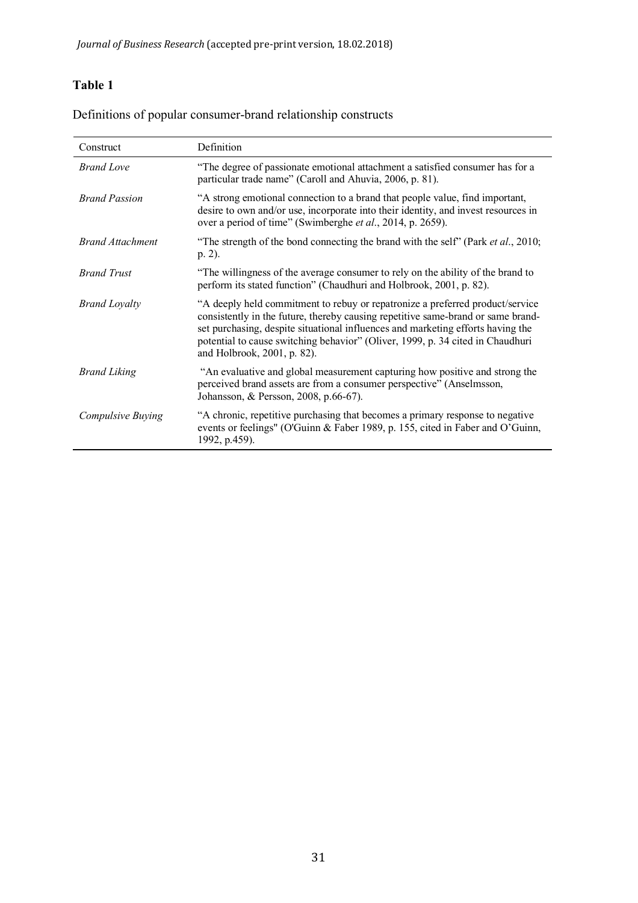# **Table 1**

| Construct               | Definition                                                                                                                                                                                                                                                                                                                                                            |
|-------------------------|-----------------------------------------------------------------------------------------------------------------------------------------------------------------------------------------------------------------------------------------------------------------------------------------------------------------------------------------------------------------------|
| <b>Brand Love</b>       | "The degree of passionate emotional attachment a satisfied consumer has for a<br>particular trade name" (Caroll and Ahuvia, 2006, p. 81).                                                                                                                                                                                                                             |
| <b>Brand Passion</b>    | "A strong emotional connection to a brand that people value, find important,<br>desire to own and/or use, incorporate into their identity, and invest resources in<br>over a period of time" (Swimberghe et al., 2014, p. 2659).                                                                                                                                      |
| <b>Brand Attachment</b> | "The strength of the bond connecting the brand with the self" (Park <i>et al.</i> , 2010;<br>$p. 2$ ).                                                                                                                                                                                                                                                                |
| <b>Brand Trust</b>      | "The willingness of the average consumer to rely on the ability of the brand to<br>perform its stated function" (Chaudhuri and Holbrook, 2001, p. 82).                                                                                                                                                                                                                |
| <b>Brand Loyalty</b>    | "A deeply held commitment to rebuy or repatronize a preferred product/service<br>consistently in the future, thereby causing repetitive same-brand or same brand-<br>set purchasing, despite situational influences and marketing efforts having the<br>potential to cause switching behavior" (Oliver, 1999, p. 34 cited in Chaudhuri<br>and Holbrook, 2001, p. 82). |
| <b>Brand Liking</b>     | "An evaluative and global measurement capturing how positive and strong the<br>perceived brand assets are from a consumer perspective" (Anselmsson,<br>Johansson, & Persson, 2008, p.66-67).                                                                                                                                                                          |
| Compulsive Buying       | "A chronic, repetitive purchasing that becomes a primary response to negative<br>events or feelings" (O'Guinn & Faber 1989, p. 155, cited in Faber and O'Guinn,<br>1992, p.459).                                                                                                                                                                                      |

Definitions of popular consumer-brand relationship constructs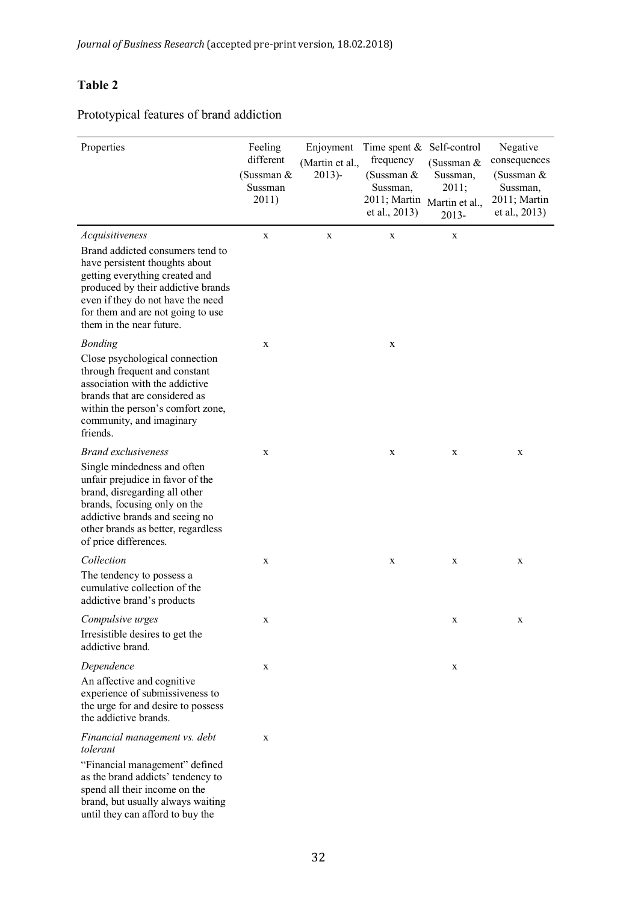# **Table 2**

Prototypical features of brand addiction

| Properties                                                                                                                                                                                                                                                          | Feeling<br>Enjoyment<br>different<br>(Martin et al.,<br>(Sussman $&$<br>2013<br>Sussman<br>2011) |   | Time spent $& Self-control$<br>frequency<br>(Sussman $&$<br>Sussman,<br>2011; Martin<br>et al., 2013) | (Sussman &<br>Sussman,<br>2011;<br>Martin et al.,<br>2013- | Negative<br>consequences<br>(Sussman $&$<br>Sussman,<br>2011; Martin<br>et al., 2013) |
|---------------------------------------------------------------------------------------------------------------------------------------------------------------------------------------------------------------------------------------------------------------------|--------------------------------------------------------------------------------------------------|---|-------------------------------------------------------------------------------------------------------|------------------------------------------------------------|---------------------------------------------------------------------------------------|
| Acquisitiveness<br>Brand addicted consumers tend to<br>have persistent thoughts about<br>getting everything created and<br>produced by their addictive brands<br>even if they do not have the need<br>for them and are not going to use<br>them in the near future. | X                                                                                                | X | $\mathbf X$                                                                                           | X                                                          |                                                                                       |
| <b>Bonding</b><br>Close psychological connection<br>through frequent and constant<br>association with the addictive<br>brands that are considered as<br>within the person's comfort zone,<br>community, and imaginary<br>friends.                                   | X                                                                                                |   | X                                                                                                     |                                                            |                                                                                       |
| <b>Brand exclusiveness</b><br>Single mindedness and often<br>unfair prejudice in favor of the<br>brand, disregarding all other<br>brands, focusing only on the<br>addictive brands and seeing no<br>other brands as better, regardless<br>of price differences.     | X                                                                                                |   | X                                                                                                     | X                                                          | X                                                                                     |
| Collection<br>The tendency to possess a<br>cumulative collection of the<br>addictive brand's products                                                                                                                                                               | X                                                                                                |   | X                                                                                                     | X                                                          | X                                                                                     |
| Compulsive urges<br>Irresistible desires to get the<br>addictive brand.                                                                                                                                                                                             | X                                                                                                |   |                                                                                                       | X                                                          | X                                                                                     |
| Dependence<br>An affective and cognitive<br>experience of submissiveness to<br>the urge for and desire to possess<br>the addictive brands.                                                                                                                          | X                                                                                                |   |                                                                                                       | X                                                          |                                                                                       |
| Financial management vs. debt<br>tolerant<br>"Financial management" defined<br>as the brand addicts' tendency to<br>spend all their income on the<br>brand, but usually always waiting<br>until they can afford to buy the                                          | X                                                                                                |   |                                                                                                       |                                                            |                                                                                       |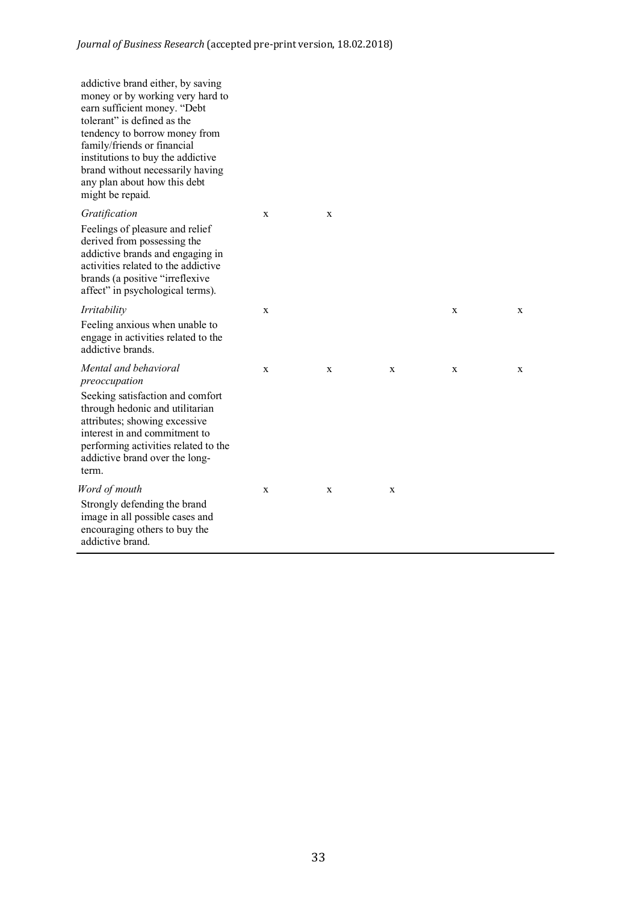| addictive brand either, by saving<br>money or by working very hard to<br>earn sufficient money. "Debt<br>tolerant" is defined as the<br>tendency to borrow money from<br>family/friends or financial<br>institutions to buy the addictive<br>brand without necessarily having<br>any plan about how this debt<br>might be repaid. |   |   |   |   |   |
|-----------------------------------------------------------------------------------------------------------------------------------------------------------------------------------------------------------------------------------------------------------------------------------------------------------------------------------|---|---|---|---|---|
| Gratification<br>Feelings of pleasure and relief<br>derived from possessing the<br>addictive brands and engaging in<br>activities related to the addictive<br>brands (a positive "irreflexive"<br>affect" in psychological terms).                                                                                                | X | X |   |   |   |
| Irritability<br>Feeling anxious when unable to<br>engage in activities related to the<br>addictive brands.                                                                                                                                                                                                                        | X |   |   | X | X |
| Mental and behavioral<br>preoccupation<br>Seeking satisfaction and comfort<br>through hedonic and utilitarian<br>attributes; showing excessive<br>interest in and commitment to<br>performing activities related to the<br>addictive brand over the long-<br>term.                                                                | X | X | X | X | X |
| Word of mouth<br>Strongly defending the brand<br>image in all possible cases and<br>encouraging others to buy the<br>addictive brand.                                                                                                                                                                                             | X | X | X |   |   |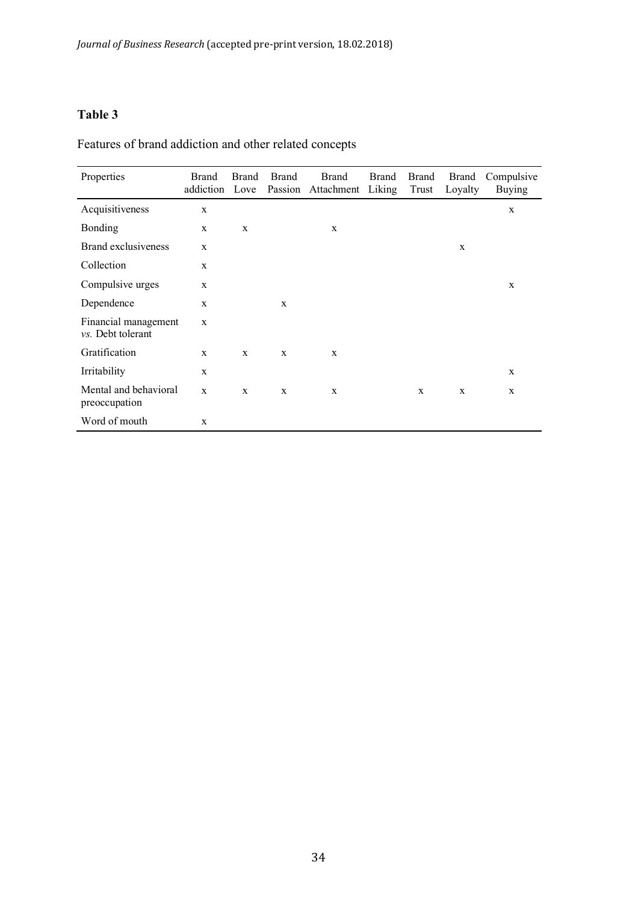# **Table 3**

Features of brand addiction and other related concepts

| Properties                                | <b>Brand</b><br>addiction | <b>Brand</b><br>Love | <b>Brand</b><br>Passion | <b>Brand</b><br>Attachment | <b>Brand</b><br>Liking | <b>Brand</b><br>Trust | Brand<br>Loyalty | Compulsive<br><b>Buying</b> |
|-------------------------------------------|---------------------------|----------------------|-------------------------|----------------------------|------------------------|-----------------------|------------------|-----------------------------|
| Acquisitiveness                           | $\mathbf X$               |                      |                         |                            |                        |                       |                  | $\mathbf X$                 |
| <b>Bonding</b>                            | $\mathbf X$               | $\mathbf x$          |                         | $\mathbf X$                |                        |                       |                  |                             |
| <b>Brand exclusiveness</b>                | X                         |                      |                         |                            |                        |                       | X                |                             |
| Collection                                | X                         |                      |                         |                            |                        |                       |                  |                             |
| Compulsive urges                          | X                         |                      |                         |                            |                        |                       |                  | $\mathbf x$                 |
| Dependence                                | X                         |                      | X                       |                            |                        |                       |                  |                             |
| Financial management<br>vs. Debt tolerant | $\mathbf X$               |                      |                         |                            |                        |                       |                  |                             |
| Gratification                             | X                         | X                    | X                       | X                          |                        |                       |                  |                             |
| Irritability                              | $\mathbf X$               |                      |                         |                            |                        |                       |                  | X                           |
| Mental and behavioral<br>preoccupation    | $\mathbf X$               | X                    | X                       | X                          |                        | X                     | X                | X                           |
| Word of mouth                             | $\mathbf X$               |                      |                         |                            |                        |                       |                  |                             |